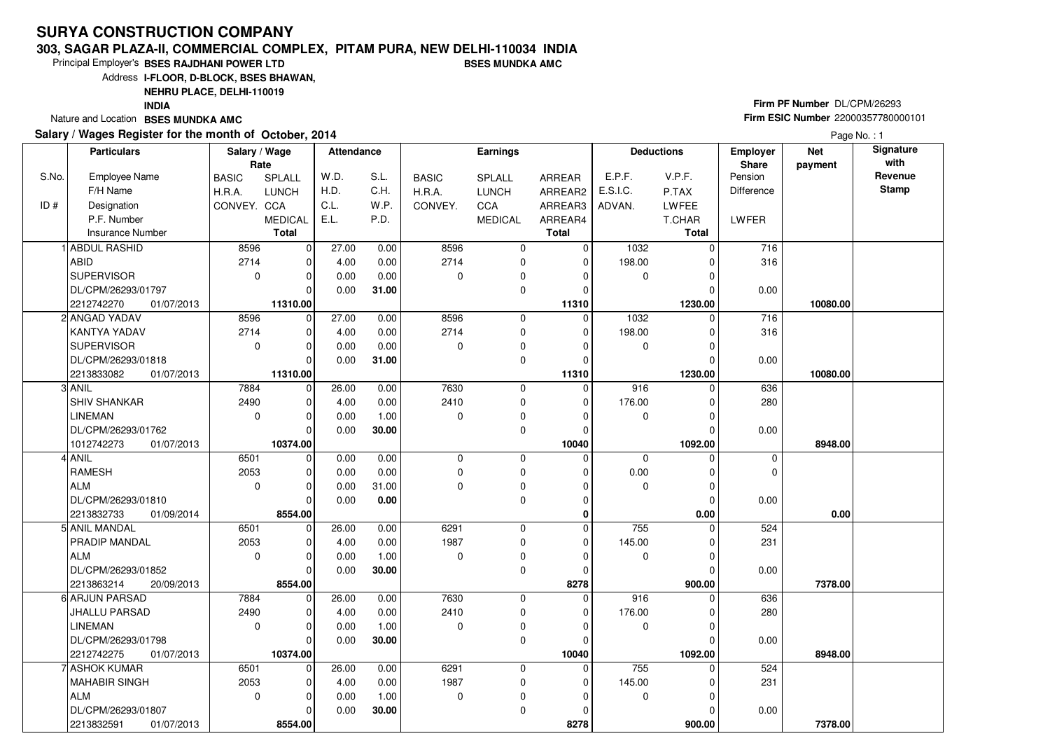### **303, SAGAR PLAZA-II, COMMERCIAL COMPLEX, PITAM PURA, NEW DELHI-110034 INDIABSES MUNDKA AMC**

Principal Employer's**BSES RAJDHANI POWER LTD**

Address**I-FLOOR, D-BLOCK, BSES BHAWAN,**

**NEHRU PLACE, DELHI-110019**

**INDIA**

Nature and Location **BSES MUNDKA AMC** 

### **Salary / Wages Register for the month of October, 2014**

|        | <b>Firm PF Number DL/CPM/26293</b>        |
|--------|-------------------------------------------|
| $\sim$ | <b>Firm ESIC Number 22000357780000101</b> |
|        |                                           |

Page No. : 1

|       | <b>Particulars</b>       | Salary / Wage<br>Rate |                | <b>Attendance</b> |       |              | Earnings       |               |             | <b>Deductions</b> | <b>Employer</b><br>Share | <b>Net</b><br>payment | Signature<br>with |
|-------|--------------------------|-----------------------|----------------|-------------------|-------|--------------|----------------|---------------|-------------|-------------------|--------------------------|-----------------------|-------------------|
| S.No. | <b>Employee Name</b>     | <b>BASIC</b>          | SPLALL         | W.D.              | S.L.  | <b>BASIC</b> | <b>SPLALL</b>  | <b>ARREAR</b> | E.P.F.      | V.P.F.            | Pension                  |                       | Revenue           |
|       | F/H Name                 | H.R.A.                | <b>LUNCH</b>   | H.D.              | C.H.  | H.R.A.       | <b>LUNCH</b>   | ARREAR2       | E.S.I.C.    | P.TAX             | Difference               |                       | <b>Stamp</b>      |
| ID#   | Designation              | CONVEY. CCA           |                | C.L.              | W.P.  | CONVEY.      | CCA            | ARREAR3       | ADVAN.      | LWFEE             |                          |                       |                   |
|       | P.F. Number              |                       | <b>MEDICAL</b> | E.L.              | P.D.  |              | <b>MEDICAL</b> | ARREAR4       |             | T.CHAR            | LWFER                    |                       |                   |
|       | <b>Insurance Number</b>  |                       | <b>Total</b>   |                   |       |              |                | <b>Total</b>  |             | <b>Total</b>      |                          |                       |                   |
|       | ABDUL RASHID             | 8596                  | $\overline{0}$ | 27.00             | 0.00  | 8596         | $\mathbf 0$    | $\mathbf 0$   | 1032        | $\Omega$          | 716                      |                       |                   |
|       | ABID                     | 2714                  | $\overline{0}$ | 4.00              | 0.00  | 2714         | $\mathbf 0$    | 0             | 198.00      | 0                 | 316                      |                       |                   |
|       | <b>SUPERVISOR</b>        | $\mathbf 0$           | $\overline{0}$ | 0.00              | 0.00  | $\mathbf 0$  | $\mathbf 0$    | $\mathbf 0$   | 0           | $\mathbf 0$       |                          |                       |                   |
|       | DL/CPM/26293/01797       |                       |                | 0.00              | 31.00 |              | $\mathbf 0$    | $\mathbf 0$   |             | 0                 | 0.00                     |                       |                   |
|       | 2212742270<br>01/07/2013 |                       | 11310.00       |                   |       |              |                | 11310         |             | 1230.00           |                          | 10080.00              |                   |
|       | ANGAD YADAV              | 8596                  | $\overline{0}$ | 27.00             | 0.00  | 8596         | $\mathbf 0$    | $\mathbf 0$   | 1032        | 0                 | 716                      |                       |                   |
|       | KANTYA YADAV             | 2714                  | $\Omega$       | 4.00              | 0.00  | 2714         | $\mathbf 0$    | 0             | 198.00      | $\Omega$          | 316                      |                       |                   |
|       | <b>SUPERVISOR</b>        | $\mathbf 0$           | $\Omega$       | 0.00              | 0.00  | 0            | $\mathbf 0$    | 0             | 0           | 0                 |                          |                       |                   |
|       | DL/CPM/26293/01818       |                       | $\Omega$       | 0.00              | 31.00 |              | $\mathbf 0$    | $\mathbf{0}$  |             | $\Omega$          | 0.00                     |                       |                   |
|       | 2213833082<br>01/07/2013 |                       | 11310.00       |                   |       |              |                | 11310         |             | 1230.00           |                          | 10080.00              |                   |
|       | ANIL                     | 7884                  | 0              | 26.00             | 0.00  | 7630         | $\mathbf 0$    | $\mathbf 0$   | 916         | $\Omega$          | 636                      |                       |                   |
|       | SHIV SHANKAR             | 2490                  | $\Omega$       | 4.00              | 0.00  | 2410         | $\mathbf 0$    | $\mathbf 0$   | 176.00      | 0                 | 280                      |                       |                   |
|       | <b>LINEMAN</b>           | $\mathbf 0$           | 0              | 0.00              | 1.00  | 0            | $\mathbf 0$    | 0             | 0           | 0                 |                          |                       |                   |
|       | DL/CPM/26293/01762       |                       |                | 0.00              | 30.00 |              | $\mathbf 0$    | $\mathbf 0$   |             | $\Omega$          | 0.00                     |                       |                   |
|       | 1012742273<br>01/07/2013 |                       | 10374.00       |                   |       |              |                | 10040         |             | 1092.00           |                          | 8948.00               |                   |
|       | <b>ANIL</b>              | 6501                  | $\overline{0}$ | 0.00              | 0.00  | 0            | $\mathbf 0$    | $\mathbf 0$   | $\mathbf 0$ | $\mathbf 0$       | $\mathbf 0$              |                       |                   |
|       | <b>RAMESH</b>            | 2053                  | $\Omega$       | 0.00              | 0.00  | $\mathbf 0$  | $\mathbf 0$    | $\Omega$      | 0.00        | $\Omega$          | $\Omega$                 |                       |                   |
|       | <b>ALM</b>               | $\mathbf 0$           | $\Omega$       | 0.00              | 31.00 | 0            | $\mathbf 0$    | 0             | 0           | $\mathbf 0$       |                          |                       |                   |
|       | DL/CPM/26293/01810       |                       | $\Omega$       | 0.00              | 0.00  |              | $\mathbf 0$    | 0             |             | $\Omega$          | 0.00                     |                       |                   |
|       | 2213832733<br>01/09/2014 |                       | 8554.00        |                   |       |              |                | $\bf{0}$      |             | 0.00              |                          | 0.00                  |                   |
|       | 5 ANIL MANDAL            | 6501                  | $\overline{0}$ | 26.00             | 0.00  | 6291         | $\mathbf 0$    | $\mathbf 0$   | 755         | 0                 | 524                      |                       |                   |
|       | PRADIP MANDAL            | 2053                  | $\Omega$       | 4.00              | 0.00  | 1987         | $\mathbf 0$    | $\mathbf 0$   | 145.00      | 0                 | 231                      |                       |                   |
|       | <b>ALM</b>               | $\mathbf 0$           | 0              | 0.00              | 1.00  | 0            | $\mathbf 0$    | $\mathbf 0$   | 0           | $\mathbf 0$       |                          |                       |                   |
|       | DL/CPM/26293/01852       |                       | $\Omega$       | 0.00              | 30.00 |              | $\mathbf 0$    | $\mathbf 0$   |             | $\Omega$          | 0.00                     |                       |                   |
|       | 2213863214<br>20/09/2013 |                       | 8554.00        |                   |       |              |                | 8278          |             | 900.00            |                          | 7378.00               |                   |
|       | 6 ARJUN PARSAD           | 7884                  | $\overline{0}$ | 26.00             | 0.00  | 7630         | $\mathbf 0$    | $\mathbf 0$   | 916         | $\Omega$          | 636                      |                       |                   |
|       | JHALLU PARSAD            | 2490                  | $\Omega$       | 4.00              | 0.00  | 2410         | $\mathbf 0$    | $\mathbf 0$   | 176.00      | 0                 | 280                      |                       |                   |
|       | LINEMAN                  | $\mathbf 0$           | $\Omega$       | 0.00              | 1.00  | $\Omega$     | $\mathbf 0$    | 0             | 0           | $\Omega$          |                          |                       |                   |
|       | DL/CPM/26293/01798       |                       | $\Omega$       | 0.00              | 30.00 |              | $\mathbf 0$    | $\mathbf 0$   |             | 0                 | 0.00                     |                       |                   |
|       | 2212742275<br>01/07/2013 |                       | 10374.00       |                   |       |              |                | 10040         |             | 1092.00           |                          | 8948.00               |                   |
|       | <b>ASHOK KUMAR</b>       | 6501                  | $\overline{0}$ | 26.00             | 0.00  | 6291         | $\mathbf 0$    | 0             | 755         | $\Omega$          | 524                      |                       |                   |
|       | <b>MAHABIR SINGH</b>     | 2053                  | $\Omega$       | 4.00              | 0.00  | 1987         | $\pmb{0}$      | $\mathbf 0$   | 145.00      | $\Omega$          | 231                      |                       |                   |
|       | <b>ALM</b>               | $\Omega$              | $\Omega$       | 0.00              | 1.00  | $\Omega$     | $\pmb{0}$      | $\mathbf 0$   | $\mathbf 0$ | $\Omega$          |                          |                       |                   |
|       | DL/CPM/26293/01807       |                       | $\Omega$       | 0.00              | 30.00 |              | $\mathbf 0$    | 0             |             | 0                 | 0.00                     |                       |                   |
|       | 2213832591<br>01/07/2013 |                       | 8554.00        |                   |       |              |                | 8278          |             | 900.00            |                          | 7378.00               |                   |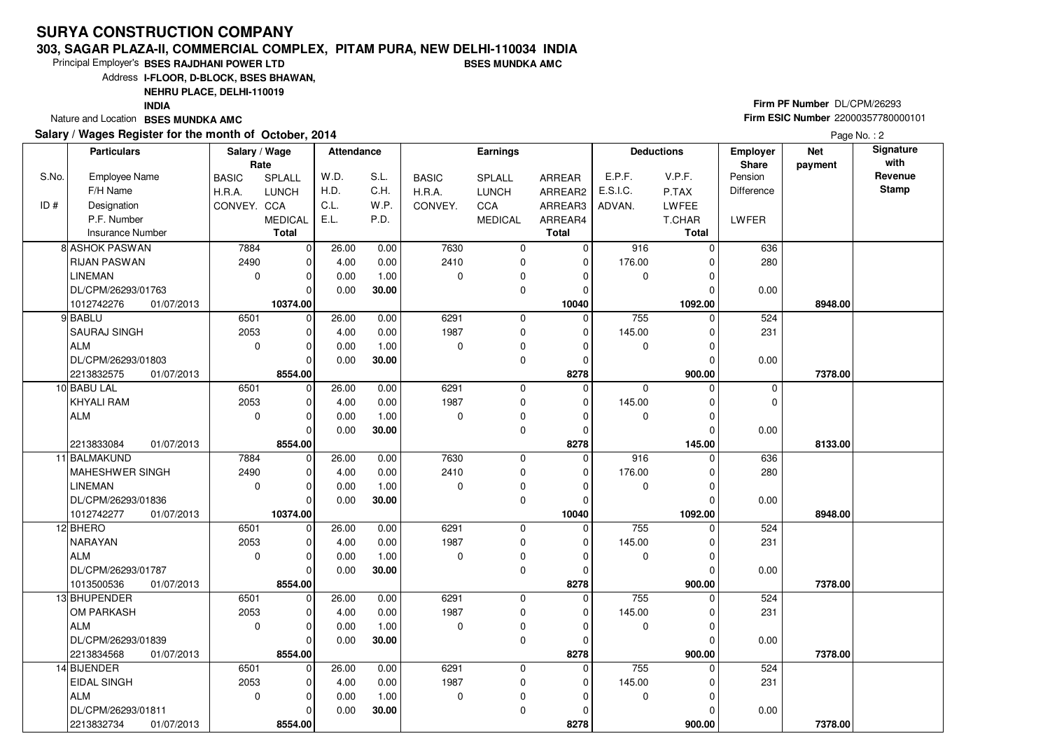### **303, SAGAR PLAZA-II, COMMERCIAL COMPLEX, PITAM PURA, NEW DELHI-110034 INDIABSES MUNDKA AMC**

Principal Employer's**BSES RAJDHANI POWER LTD**

Address**I-FLOOR, D-BLOCK, BSES BHAWAN,**

**NEHRU PLACE, DELHI-110019**

**INDIA**

Nature and Location **BSES MUNDKA AMC** 

### **Salary / Wages Register for the month of October, 2014**

|        | Firm PF Number DL/CPM/26293        |
|--------|------------------------------------|
| $\sim$ | Firm ESIC Number 22000357780000101 |
|        |                                    |

Page No. : 2

|       | <b>Particulars</b>       | Salary / Wage<br>Rate |                | <b>Attendance</b> |       |              | Earnings       |              |             | <b>Deductions</b> | <b>Employer</b><br>Share | <b>Net</b><br>payment | Signature<br>with |
|-------|--------------------------|-----------------------|----------------|-------------------|-------|--------------|----------------|--------------|-------------|-------------------|--------------------------|-----------------------|-------------------|
| S.No. | <b>Employee Name</b>     | <b>BASIC</b>          | SPLALL         | W.D.              | S.L.  | <b>BASIC</b> | SPLALL         | ARREAR       | E.P.F.      | V.P.F.            | Pension                  |                       | Revenue           |
|       | F/H Name                 | H.R.A.                | <b>LUNCH</b>   | H.D.              | C.H.  | H.R.A.       | <b>LUNCH</b>   | ARREAR2      | E.S.I.C.    | P.TAX             | Difference               |                       | <b>Stamp</b>      |
| ID#   | Designation              | CONVEY. CCA           |                | C.L.              | W.P.  | CONVEY.      | CCA            | ARREAR3      | ADVAN.      | LWFEE             |                          |                       |                   |
|       | P.F. Number              |                       | <b>MEDICAL</b> | E.L.              | P.D.  |              | <b>MEDICAL</b> | ARREAR4      |             | T.CHAR            | LWFER                    |                       |                   |
|       | <b>Insurance Number</b>  |                       | <b>Total</b>   |                   |       |              |                | <b>Total</b> |             | Total             |                          |                       |                   |
|       | <b>8 ASHOK PASWAN</b>    | 7884                  | $\overline{0}$ | 26.00             | 0.00  | 7630         | $\mathbf 0$    | $\mathbf 0$  | 916         | 0                 | 636                      |                       |                   |
|       | <b>RIJAN PASWAN</b>      | 2490                  | $\mathbf 0$    | 4.00              | 0.00  | 2410         | 0              | $\Omega$     | 176.00      | 0                 | 280                      |                       |                   |
|       | <b>LINEMAN</b>           | $\mathbf 0$           | $\mathbf 0$    | 0.00              | 1.00  | 0            | 0              | 0            | $\mathbf 0$ | 0                 |                          |                       |                   |
|       | DL/CPM/26293/01763       |                       | $\Omega$       | 0.00              | 30.00 |              | 0              | $\Omega$     |             | U                 | 0.00                     |                       |                   |
|       | 1012742276<br>01/07/2013 |                       | 10374.00       |                   |       |              |                | 10040        |             | 1092.00           |                          | 8948.00               |                   |
|       | 9 BABLU                  | 6501                  | $\Omega$       | 26.00             | 0.00  | 6291         | $\mathbf 0$    | $\Omega$     | 755         | $\Omega$          | 524                      |                       |                   |
|       | SAURAJ SINGH             | 2053                  | $\mathbf 0$    | 4.00              | 0.00  | 1987         | 0              | 0            | 145.00      | 0                 | 231                      |                       |                   |
|       | <b>ALM</b>               | $\mathbf 0$           | $\mathbf 0$    | 0.00              | 1.00  | 0            | 0              | $\Omega$     | 0           | 0                 |                          |                       |                   |
|       | DL/CPM/26293/01803       |                       | $\Omega$       | 0.00              | 30.00 |              | 0              | $\Omega$     |             | $\Omega$          | 0.00                     |                       |                   |
|       | 2213832575<br>01/07/2013 |                       | 8554.00        |                   |       |              |                | 8278         |             | 900.00            |                          | 7378.00               |                   |
|       | 10 BABU LAL              | 6501                  | $\Omega$       | 26.00             | 0.00  | 6291         | $\mathbf 0$    | $\mathbf{0}$ | $\Omega$    | $\Omega$          | $\Omega$                 |                       |                   |
|       | KHYALI RAM               | 2053                  | 0              | 4.00              | 0.00  | 1987         | 0              | 0            | 145.00      | 0                 | $\Omega$                 |                       |                   |
|       | <b>ALM</b>               | $\mathbf 0$           | 0              | 0.00              | 1.00  | 0            | 0              | 0            | 0           | 0                 |                          |                       |                   |
|       |                          |                       | $\Omega$       | 0.00              | 30.00 |              | $\mathbf 0$    | 0            |             | 0                 | 0.00                     |                       |                   |
|       | 2213833084<br>01/07/2013 |                       | 8554.00        |                   |       |              |                | 8278         |             | 145.00            |                          | 8133.00               |                   |
|       | 11 BALMAKUND             | 7884                  | $\mathbf 0$    | 26.00             | 0.00  | 7630         | 0              | $\mathbf{0}$ | 916         | $\Omega$          | 636                      |                       |                   |
|       | MAHESHWER SINGH          | 2490                  | $\Omega$       | 4.00              | 0.00  | 2410         | 0              | $\Omega$     | 176.00      | 0                 | 280                      |                       |                   |
|       | <b>LINEMAN</b>           | $\mathbf 0$           | $\mathbf 0$    | 0.00              | 1.00  | 0            | 0              | 0            | 0           | 0                 |                          |                       |                   |
|       | DL/CPM/26293/01836       |                       | $\Omega$       | 0.00              | 30.00 |              | $\mathbf 0$    | 0            |             | 0                 | 0.00                     |                       |                   |
|       | 1012742277<br>01/07/2013 |                       | 10374.00       |                   |       |              |                | 10040        |             | 1092.00           |                          | 8948.00               |                   |
|       | 12 BHERO                 | 6501                  | $\mathbf 0$    | 26.00             | 0.00  | 6291         | $\mathbf 0$    | $\mathbf 0$  | 755         | 0                 | 524                      |                       |                   |
|       | <b>NARAYAN</b>           | 2053                  | 0              | 4.00              | 0.00  | 1987         | 0              | 0            | 145.00      | 0                 | 231                      |                       |                   |
|       | <b>ALM</b>               | $\mathbf 0$           | 0              | 0.00              | 1.00  | 0            | 0              | 0            | 0           | 0                 |                          |                       |                   |
|       | DL/CPM/26293/01787       |                       | $\Omega$       | 0.00              | 30.00 |              | $\mathbf 0$    | $\Omega$     |             | 0                 | 0.00                     |                       |                   |
|       | 1013500536<br>01/07/2013 |                       | 8554.00        |                   |       |              |                | 8278         |             | 900.00            |                          | 7378.00               |                   |
|       | 13 BHUPENDER             | 6501                  | $\overline{0}$ | 26.00             | 0.00  | 6291         | 0              | $\mathbf 0$  | 755         | 0                 | 524                      |                       |                   |
|       | OM PARKASH               | 2053                  | 0              | 4.00              | 0.00  | 1987         | 0              | 0            | 145.00      | 0                 | 231                      |                       |                   |
|       | <b>ALM</b>               | $\mathbf 0$           | 0              | 0.00              | 1.00  | 0            | 0              | 0            | 0           | 0                 |                          |                       |                   |
|       | DL/CPM/26293/01839       |                       | $\Omega$       | 0.00              | 30.00 |              | 0              | $\mathbf 0$  |             | $\Omega$          | 0.00                     |                       |                   |
|       | 2213834568<br>01/07/2013 |                       | 8554.00        |                   |       |              |                | 8278         |             | 900.00            |                          | 7378.00               |                   |
|       | 14 BIJENDER              | 6501                  | $\mathbf 0$    | 26.00             | 0.00  | 6291         | $\mathbf 0$    | $\mathbf 0$  | 755         | 0                 | 524                      |                       |                   |
|       | <b>EIDAL SINGH</b>       | 2053                  | $\mathbf 0$    | 4.00              | 0.00  | 1987         | 0              | $\Omega$     | 145.00      | 0                 | 231                      |                       |                   |
|       | <b>ALM</b>               | $\mathbf 0$           | 0              | 0.00              | 1.00  | 0            | 0              | 0            | 0           | 0                 |                          |                       |                   |
|       | DL/CPM/26293/01811       |                       | $\Omega$       | 0.00              | 30.00 |              | $\mathbf 0$    | 0            |             | 0                 | 0.00                     |                       |                   |
|       | 2213832734<br>01/07/2013 |                       | 8554.00        |                   |       |              |                | 8278         |             | 900.00            |                          | 7378.00               |                   |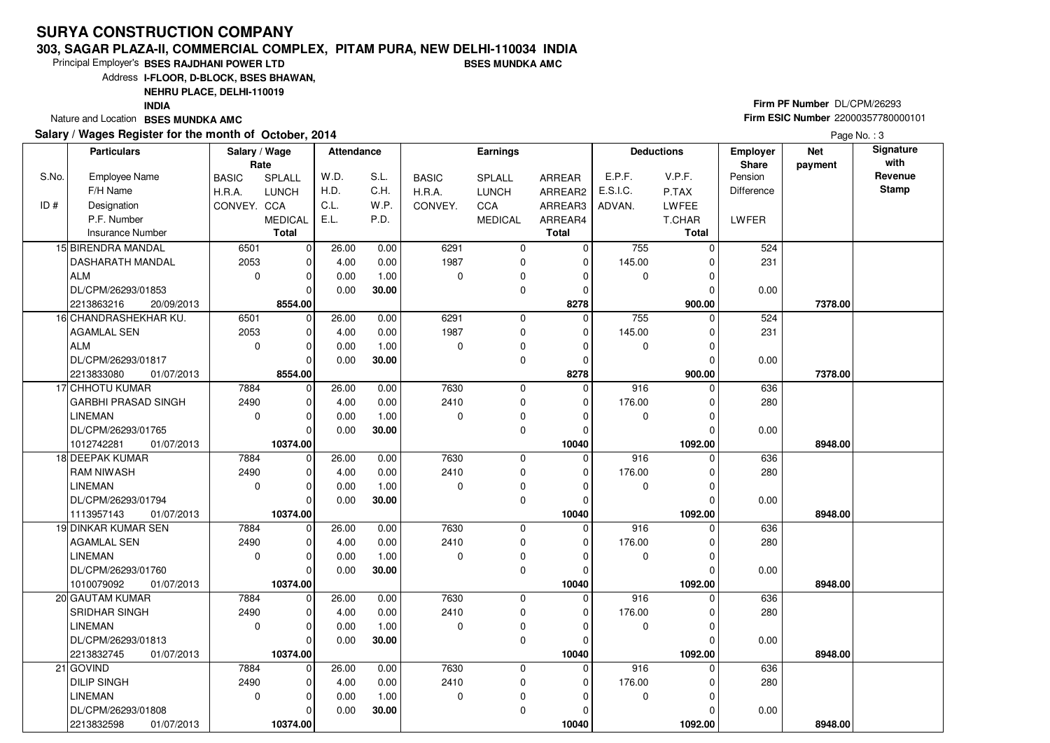#### **303, SAGAR PLAZA-II, COMMERCIAL COMPLEX, PITAM PURA, NEW DELHI-110034 INDIABSES MUNDKA AMC**

 $\overline{0}$ 10374.00 0.00

**30.00**

**10374.00** 01/07/2013

Principal Employer's**BSES RAJDHANI POWER LTD**

Address**I-FLOOR, D-BLOCK, BSES BHAWAN,**

**NEHRU PLACE, DELHI-110019**

**INDIA**

Nature and Location **BSES MUNDKA AMC** 

DL/CPM/26293/01808

2213832598

#### **Salary / Wages Register for the month of October, 2014**

# **Firm PF Number** DL/CPM/26293 **Firm ESIC Number** <sup>22000357780000101</sup>

|       | Salary / wages Register for the month of October, 2014 |                       |                |                   |       |              |                 |             |              |                   |                          |                       | Page No.: 3              |
|-------|--------------------------------------------------------|-----------------------|----------------|-------------------|-------|--------------|-----------------|-------------|--------------|-------------------|--------------------------|-----------------------|--------------------------|
|       | <b>Particulars</b>                                     | Salary / Wage<br>Rate |                | <b>Attendance</b> |       |              | <b>Earnings</b> |             |              | <b>Deductions</b> | <b>Employer</b><br>Share | <b>Net</b><br>payment | <b>Signature</b><br>with |
| S.No. | <b>Employee Name</b>                                   | <b>BASIC</b>          | SPLALL         | W.D.              | S.L.  | <b>BASIC</b> | SPLALL          | ARREAR      | E.P.F.       | V.P.F.            | Pension                  |                       | Revenue                  |
|       | F/H Name                                               | H.R.A.                | <b>LUNCH</b>   | H.D.              | C.H.  | H.R.A.       | <b>LUNCH</b>    | ARREAR2     | E.S.I.C.     | P.TAX             | <b>Difference</b>        |                       | <b>Stamp</b>             |
| ID#   | Designation                                            | CONVEY. CCA           |                | C.L.              | W.P.  | CONVEY.      | CCA             | ARREAR3     | ADVAN.       | LWFEE             |                          |                       |                          |
|       | P.F. Number                                            |                       | <b>MEDICAL</b> | E.L.              | P.D.  |              | <b>MEDICAL</b>  | ARREAR4     |              | T.CHAR            | LWFER                    |                       |                          |
|       | <b>Insurance Number</b>                                |                       | <b>Total</b>   |                   |       |              |                 | Total       |              | <b>Total</b>      |                          |                       |                          |
|       | 15 BIRENDRA MANDAL                                     | 6501                  | $\Omega$       | 26.00             | 0.00  | 6291         | $\mathbf 0$     | $\mathbf 0$ | 755          | $\Omega$          | 524                      |                       |                          |
|       | <b>DASHARATH MANDAL</b>                                | 2053                  | $\overline{0}$ | 4.00              | 0.00  | 1987         | $\mathbf 0$     | 0           | 145.00       | $\Omega$          | 231                      |                       |                          |
|       | <b>ALM</b>                                             | $\Omega$              | $\Omega$       | 0.00              | 1.00  | $\mathbf 0$  | $\mathbf 0$     | $\Omega$    | $\Omega$     | $\Omega$          |                          |                       |                          |
|       | DL/CPM/26293/01853                                     |                       |                | 0.00              | 30.00 |              | $\mathbf 0$     | $\Omega$    |              | O                 | 0.00                     |                       |                          |
|       | 2213863216<br>20/09/2013                               |                       | 8554.00        |                   |       |              |                 | 8278        |              | 900.00            |                          | 7378.00               |                          |
|       | 16 CHANDRASHEKHAR KU.                                  | 6501                  | $\Omega$       | 26.00             | 0.00  | 6291         | $\Omega$        | $\Omega$    | 755          | $\Omega$          | 524                      |                       |                          |
|       | AGAMLAL SEN                                            | 2053                  | $\Omega$       | 4.00              | 0.00  | 1987         | $\Omega$        | $\mathbf 0$ | 145.00       | O                 | 231                      |                       |                          |
|       | <b>ALM</b>                                             | $\mathbf 0$           | $\Omega$       | 0.00              | 1.00  | 0            | $\mathbf 0$     | $\mathbf 0$ | 0            | $\Omega$          |                          |                       |                          |
|       | DL/CPM/26293/01817                                     |                       | 0              | 0.00              | 30.00 |              | $\mathbf 0$     | $\Omega$    |              | $\Omega$          | 0.00                     |                       |                          |
|       | 2213833080<br>01/07/2013                               |                       | 8554.00        |                   |       |              |                 | 8278        |              | 900.00            |                          | 7378.00               |                          |
|       | 17 CHHOTU KUMAR                                        | 7884                  | $\Omega$       | 26.00             | 0.00  | 7630         | $\Omega$        | $\Omega$    | 916          | $\Omega$          | 636                      |                       |                          |
|       | <b>GARBHI PRASAD SINGH</b>                             | 2490                  | $\Omega$       | 4.00              | 0.00  | 2410         | $\Omega$        | $\Omega$    | 176.00       | $\Omega$          | 280                      |                       |                          |
|       | <b>LINEMAN</b>                                         | $\mathbf 0$           | $\Omega$       | 0.00              | 1.00  | $\mathbf 0$  | $\mathbf 0$     | $\Omega$    | $\Omega$     | $\Omega$          |                          |                       |                          |
|       | DL/CPM/26293/01765                                     |                       | 0              | 0.00              | 30.00 |              | $\Omega$        | $\Omega$    |              | ∩                 | 0.00                     |                       |                          |
|       | 1012742281<br>01/07/2013                               |                       | 10374.00       |                   |       |              |                 | 10040       |              | 1092.00           |                          | 8948.00               |                          |
|       | 18 DEEPAK KUMAR                                        | 7884                  | $\Omega$       | 26.00             | 0.00  | 7630         | $\Omega$        | $\Omega$    | 916          | O                 | 636                      |                       |                          |
|       | <b>RAM NIWASH</b>                                      | 2490                  | 0              | 4.00              | 0.00  | 2410         | $\Omega$        | $\Omega$    | 176.00       |                   | 280                      |                       |                          |
|       | <b>LINEMAN</b>                                         | 0                     | $\Omega$       | 0.00              | 1.00  | 0            | 0               | $\Omega$    | $\Omega$     | $\Omega$          |                          |                       |                          |
|       | DL/CPM/26293/01794                                     |                       | $\Omega$       | 0.00              | 30.00 |              | $\Omega$        | $\Omega$    |              |                   | 0.00                     |                       |                          |
|       | 1113957143<br>01/07/2013                               |                       | 10374.00       |                   |       |              |                 | 10040       |              | 1092.00           |                          | 8948.00               |                          |
|       | 19 DINKAR KUMAR SEN                                    | 7884                  | $\Omega$       | 26.00             | 0.00  | 7630         | $\mathbf 0$     | $\mathbf 0$ | 916          | $\Omega$          | 636                      |                       |                          |
|       | <b>AGAMLAL SEN</b>                                     | 2490                  | 0              | 4.00              | 0.00  | 2410         | 0               | $\mathbf 0$ | 176.00       | O                 | 280                      |                       |                          |
|       | <b>LINEMAN</b>                                         | 0                     | $\Omega$       | 0.00              | 1.00  | 0            | 0               | $\Omega$    | $\mathbf 0$  | $\Omega$          |                          |                       |                          |
|       | DL/CPM/26293/01760                                     |                       | $\Omega$       | 0.00              | 30.00 |              | $\Omega$        | $\Omega$    |              | $\Omega$          | 0.00                     |                       |                          |
|       | 1010079092<br>01/07/2013                               |                       | 10374.00       |                   |       |              |                 | 10040       |              | 1092.00           |                          | 8948.00               |                          |
|       | 20 GAUTAM KUMAR                                        | 7884                  | $\Omega$       | 26.00             | 0.00  | 7630         | $\Omega$        | $\Omega$    | 916          | $\Omega$          | 636                      |                       |                          |
|       | SRIDHAR SINGH                                          | 2490                  | 0              | 4.00              | 0.00  | 2410         | 0               | $\mathbf 0$ | 176.00       | $\Omega$          | 280                      |                       |                          |
|       | <b>LINEMAN</b>                                         | $\mathbf 0$           | $\Omega$       | 0.00              | 1.00  | 0            | 0               | $\Omega$    | $\mathbf{0}$ | $\Omega$          |                          |                       |                          |
|       | DL/CPM/26293/01813                                     |                       | $\Omega$       | 0.00              | 30.00 |              | $\Omega$        | $\Omega$    |              | O                 | 0.00                     |                       |                          |
|       | 2213832745<br>01/07/2013                               |                       | 10374.00       |                   |       |              |                 | 10040       |              | 1092.00           |                          | 8948.00               |                          |
|       | 21 GOVIND                                              | 7884                  | $\Omega$       | 26.00             | 0.00  | 7630         | $\Omega$        | $\mathbf 0$ | 916          | $\Omega$          | 636                      |                       |                          |
|       | <b>DILIP SINGH</b>                                     | 2490                  | $\Omega$       | 4.00              | 0.00  | 2410         | $\Omega$        | $\mathbf 0$ | 176.00       |                   | 280                      |                       |                          |
|       | <b>LINEMAN</b>                                         | $\Omega$              | 01             | 0.00              | 1.00  | $\Omega$     | $\Omega$        | $\Omega$    | $\Omega$     | $\Omega$          |                          |                       |                          |

 $\overline{0}$  **10040**  $\overline{0}$ 

 **1092.00 8948.00**

0.00

 $\overline{0}$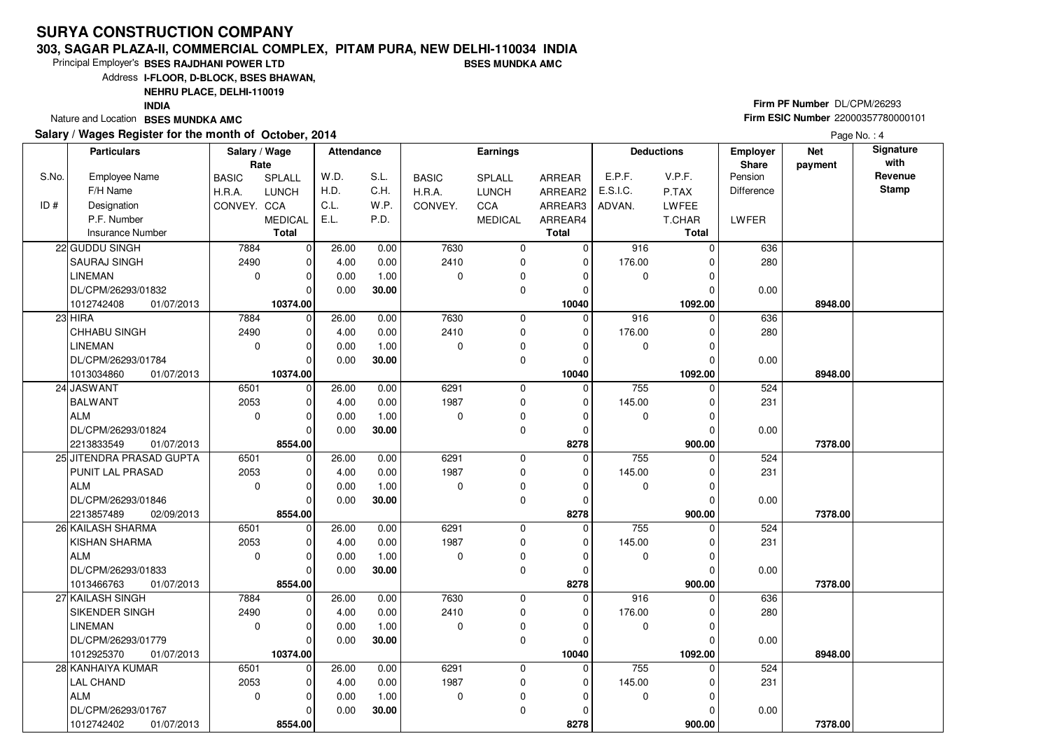### **303, SAGAR PLAZA-II, COMMERCIAL COMPLEX, PITAM PURA, NEW DELHI-110034 INDIABSES MUNDKA AMC**

Principal Employer's**BSES RAJDHANI POWER LTD**

Address**I-FLOOR, D-BLOCK, BSES BHAWAN,**

**NEHRU PLACE, DELHI-110019**

**INDIA**

Nature and Location **BSES MUNDKA AMC** 

### **Salary / Wages Register for the month of October, 2014**

# **Firm PF Number** DL/CPM/26293 **Firm ESIC Number** <sup>22000357780000101</sup>

Page No.: 4

|       | <b>Particulars</b>                 | Salary / Wage<br>Rate |                        | <b>Attendance</b> |              |              | <b>Earnings</b> |                  |          | <b>Deductions</b> | Employer<br>Share | <b>Net</b><br>payment | Signature<br>with |
|-------|------------------------------------|-----------------------|------------------------|-------------------|--------------|--------------|-----------------|------------------|----------|-------------------|-------------------|-----------------------|-------------------|
| S.No. | <b>Employee Name</b>               | <b>BASIC</b>          | SPLALL                 | W.D.              | S.L.         | <b>BASIC</b> | SPLALL          | ARREAR           | E.P.F.   | V.P.F.            | Pension           |                       | Revenue           |
|       | F/H Name                           | H.R.A.                | <b>LUNCH</b>           | H.D.              | C.H.         | H.R.A.       | <b>LUNCH</b>    | ARREAR2          | E.S.I.C. | P.TAX             | <b>Difference</b> |                       | <b>Stamp</b>      |
| ID #  | Designation                        | CONVEY. CCA           |                        | C.L.              | W.P.         | CONVEY.      | CCA             | ARREAR3          | ADVAN.   | LWFEE             |                   |                       |                   |
|       | P.F. Number                        |                       | <b>MEDICAL</b>         | E.L.              | P.D.         |              | <b>MEDICAL</b>  | ARREAR4          |          | T.CHAR            | LWFER             |                       |                   |
|       | <b>Insurance Number</b>            |                       | <b>Total</b>           |                   |              |              |                 | <b>Total</b>     |          | <b>Total</b>      |                   |                       |                   |
|       | 22 GUDDU SINGH                     | 7884                  | $\mathbf 0$            | 26.00             | 0.00         | 7630         | $\mathbf 0$     | 0                | 916      | $\Omega$          | 636               |                       |                   |
|       | <b>SAURAJ SINGH</b>                | 2490                  | $\mathbf 0$            | 4.00              | 0.00         | 2410         | $\mathbf 0$     | $\mathbf 0$      | 176.00   |                   | 280               |                       |                   |
|       | LINEMAN                            | $\mathbf 0$           | $\mathbf 0$            | 0.00              | 1.00         | $\Omega$     | 0               | 0                | 0        |                   |                   |                       |                   |
|       | DL/CPM/26293/01832                 |                       | $\Omega$               | 0.00              | 30.00        |              | $\mathbf 0$     | 0                |          |                   | 0.00              |                       |                   |
|       | 01/07/2013<br>1012742408           |                       | 10374.00               |                   |              |              |                 | 10040            |          | 1092.00           |                   | 8948.00               |                   |
|       | $23$ HIRA                          | 7884                  | $\mathbf 0$            | 26.00             | 0.00         | 7630         | $\mathbf 0$     | $\mathbf 0$      | 916      | 0                 | 636               |                       |                   |
|       | <b>CHHABU SINGH</b>                | 2490                  | $\mathbf 0$            | 4.00              | 0.00         | 2410         | $\mathbf 0$     | $\Omega$         | 176.00   |                   | 280               |                       |                   |
|       | <b>LINEMAN</b>                     | $\mathbf 0$           | $\mathbf 0$            | 0.00              | 1.00         | $\Omega$     | $\mathbf 0$     | $\Omega$         | 0        | $\Omega$          |                   |                       |                   |
|       | DL/CPM/26293/01784                 |                       | $\mathbf 0$            | 0.00              | 30.00        |              | $\mathbf 0$     | $\mathbf 0$      |          |                   | 0.00              |                       |                   |
|       | 1013034860<br>01/07/2013           |                       | 10374.00               |                   |              |              |                 | 10040            |          | 1092.00           |                   | 8948.00               |                   |
|       | 24 JASWANT                         | 6501                  | $\mathbf 0$            | 26.00             | 0.00         | 6291         | $\mathbf 0$     | $\mathbf 0$      | 755      | $\Omega$          | 524               |                       |                   |
|       | <b>BALWANT</b>                     | 2053                  | $\mathbf 0$            | 4.00              | 0.00         | 1987         | $\mathbf 0$     | 0                | 145.00   | $\Omega$          | 231               |                       |                   |
|       | ALM                                | $\mathbf 0$           | 0                      | 0.00              | 1.00         | $\Omega$     | 0               | 0                | 0        | $\Omega$          |                   |                       |                   |
|       | DL/CPM/26293/01824                 |                       | $\Omega$               | 0.00              | 30.00        |              | 0               | 0                |          |                   | 0.00              |                       |                   |
|       | 2213833549<br>01/07/2013           |                       | 8554.00                |                   |              |              |                 | 8278             |          | 900.00            |                   | 7378.00               |                   |
|       | 25 JITENDRA PRASAD GUPTA           | 6501                  | $\mathbf 0$            | 26.00             | 0.00         | 6291         | $\mathbf 0$     | $\Omega$         | 755      | $\Omega$          | 524               |                       |                   |
|       | PUNIT LAL PRASAD                   | 2053                  | $\mathbf 0$            | 4.00              | 0.00         | 1987         | $\mathbf 0$     | 0                | 145.00   | $\Omega$          | 231               |                       |                   |
|       | ALM                                | $\mathbf 0$           | $\mathbf 0$            | 0.00              | 1.00         | 0            | $\mathbf 0$     | 0                | 0        | 0                 |                   |                       |                   |
|       | DL/CPM/26293/01846                 |                       | $\Omega$               | 0.00              | 30.00        |              | $\mathbf 0$     | 0                |          | $\Omega$          | 0.00              |                       |                   |
|       | 2213857489<br>02/09/2013           |                       | 8554.00                |                   |              |              |                 | 8278             |          | 900.00            |                   | 7378.00               |                   |
|       | 26 KAILASH SHARMA                  | 6501                  | 0                      | 26.00             | 0.00         | 6291         | 0               | $\mathbf 0$      | 755      |                   | 524               |                       |                   |
|       | <b>KISHAN SHARMA</b>               | 2053                  | $\mathbf 0$            | 4.00              | 0.00         | 1987         | 0               | 0                | 145.00   | 0                 | 231               |                       |                   |
|       | ALM                                | $\mathbf 0$           | $\mathbf 0$            | 0.00              | 1.00         | $\Omega$     | 0               | $\Omega$         | 0        | ŋ                 |                   |                       |                   |
|       | DL/CPM/26293/01833                 |                       | $\Omega$               | 0.00              | 30.00        |              | 0               | $\mathbf 0$      |          | $\Omega$          | 0.00              |                       |                   |
|       | 1013466763<br>01/07/2013           | 7884                  | 8554.00<br>$\mathbf 0$ |                   |              | 7630         | 0               | 8278<br>$\Omega$ | 916      | 900.00<br>0       |                   | 7378.00               |                   |
|       | 27 KAILASH SINGH<br>SIKENDER SINGH | 2490                  | $\mathbf 0$            | 26.00<br>4.00     | 0.00<br>0.00 | 2410         | $\mathbf 0$     | 0                | 176.00   | 0                 | 636<br>280        |                       |                   |
|       | LINEMAN                            | 0                     | $\mathbf 0$            | 0.00              | 1.00         | $\Omega$     | 0               | $\Omega$         | 0        | $\Omega$          |                   |                       |                   |
|       | DL/CPM/26293/01779                 |                       | $\Omega$               | 0.00              | 30.00        |              | $\mathbf 0$     | $\mathbf 0$      |          | $\Omega$          | 0.00              |                       |                   |
|       | 1012925370<br>01/07/2013           |                       | 10374.00               |                   |              |              |                 | 10040            |          | 1092.00           |                   | 8948.00               |                   |
|       | 28 KANHAIYA KUMAR                  | 6501                  | $\mathbf 0$            | 26.00             | 0.00         | 6291         | 0               | $\mathbf 0$      | 755      | $\Omega$          | 524               |                       |                   |
|       | <b>LAL CHAND</b>                   | 2053                  | $\mathbf 0$            | 4.00              | 0.00         | 1987         | $\mathbf 0$     | 0                | 145.00   | 0                 | 231               |                       |                   |
|       | ALM                                | $\mathbf 0$           | $\Omega$               | 0.00              | 1.00         | $\Omega$     | 0               | $\Omega$         | 0        |                   |                   |                       |                   |
|       | DL/CPM/26293/01767                 |                       | $\Omega$               | 0.00              | 30.00        |              | $\mathbf 0$     | $\Omega$         |          |                   | 0.00              |                       |                   |
|       | 1012742402<br>01/07/2013           |                       | 8554.00                |                   |              |              |                 | 8278             |          | 900.00            |                   | 7378.00               |                   |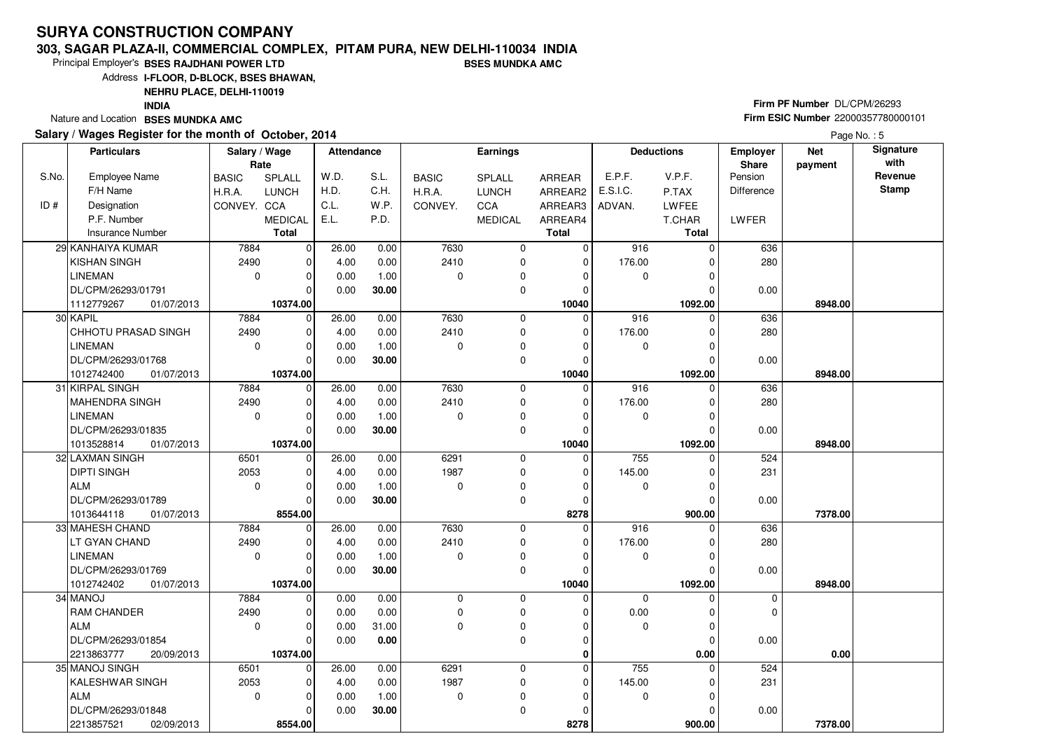#### **303, SAGAR PLAZA-II, COMMERCIAL COMPLEX, PITAM PURA, NEW DELHI-110034 INDIABSES MUNDKA AMC**

Principal Employer's**BSES RAJDHANI POWER LTD**

Address**I-FLOOR, D-BLOCK, BSES BHAWAN,**

**NEHRU PLACE, DELHI-110019**

 2053 $\overline{0}$ 

KALESHWAR SINGH

DL/CPM/26293/01848

02/09/2013

ALM

2213857521 **8554.00**

 $\overline{0}$  $\Omega$  $\overline{\phantom{0}}$ 8554.00  4.00 0.000.00

 0.00 1.00**30.00**

**INDIA**

Nature and Location **BSES MUNDKA AMC** 

S.No.

 $ID#$ 

### **Salary / Wages Register for the month of October, 2014**

# **Firm PF Number** DL/CPM/26293 **Firm ESIC Number** <sup>22000357780000101</sup>

 **900.00 7378.00**

 **Attendance EarningsBASIC**  H.R.A.CONVEY. CCA SPLALL LUNCH MEDICALARREAR ARREAR2 ARREAR3 ARREAR4**Total**Employee NameF/H Name Designation P.F. NumberInsurance Number**Salary / Wage RateBASIC**  H.R.A.**CONVEY** SPLALL LUNCHC<sub>C</sub>A MEDICAL**Total**ADVAN.P.TAX LWFEE T.CHAR **Total**E.P.F. V.P.F. E.S.I.C.Pension DifferenceLWFER**Deductions Employer Share**W.D.H.D.C.L. E.L.S.L.C.H.W<sub>P</sub> P.D.**Net paymentSignature with Revenue StampParticulars**Page No.: 5 7884 2490 $\overline{0}$  $\overline{0}$  $\overline{0}$  $\overline{0}$  $\overline{0}$ 10374.00  $\overline{0}$  $\overline{0}$  $\overline{0}$  $\overline{0}$   **10040** $\overline{0}$  7630 2410 $\overline{0}$  $\overline{0}$  $\overline{0}$  $\overline{0}$  $\overline{0}$  916 0 $\overline{0}$  176.00 $\overline{0}$  $\overline{0}$  $\overline{0}$   **1092.00 8948.00** 636 280 0.0029 KANHAIYA KUMARKISHAN SINGHLINEMAN DL/CPM/26293/01791 **10374.00** 01/07/2013111277926726.00 4.00 0.00 0.00 0.00 0.00 1.00 **30.00** 7884 2490 $\overline{0}$  $\Omega$  $\overline{0}$  $\overline{0}$  $\overline{\phantom{0}}$ 10374.00  $\overline{0}$  $\overline{0}$  $\overline{0}$   **10040** $\overline{0}$  7630 2410 $\overline{0}$  $\overline{0}$  $\overline{0}$  $\overline{0}$  $\overline{0}$  916 0 $\overline{0}$  176.00 $\overline{0}$  $\overline{0}$  $\overline{0}$ 1092.00  **1092.00 8948.00** 636 280 0.0030 KAPIL CHHOTU PRASAD SINGHLINEMAN DL/CPM/26293/01768 **10374.00** 01/07/2013101274240026.00 4.00 0.00 0.00 0.00 0.00 1.00 **30.00** 7884 2490 $\overline{0}$  $\Omega$  $\overline{0}$  $\overline{0}$  $\overline{\phantom{0}}$ 10374.00  $\overline{0}$  $\overline{0}$  $\overline{0}$   **10040** $\overline{0}$  7630 2410 $\overline{0}$  $\overline{0}$  $\overline{0}$  $\overline{0}$  $\overline{0}$  916 0 $\overline{0}$  176.00 $\overline{0}$  $\overline{0}$  $\overline{0}$ 1092.00  **1092.00 8948.00** 636 280 0.0031 KIRPAL SINGH MAHENDRA SINGHLINEMAN DL/CPM/26293/01835 **10374.00** 01/07/2013101352881426.00 4.00 0.00 0.00 0.00 0.00 1.00 **30.00** 6501 2053 $\overline{\phantom{0}}$  $\Omega$  $\overline{0}$  $\overline{\phantom{0}}$  $\overline{\phantom{0}}$ 8554.00  $\overline{0}$  $\overline{0}$  $\overline{0}$   **8278** $\overline{0}$  6291 1987 $\overline{\phantom{0}}$  $\overline{0}$  $\overline{0}$  $\overline{0}$  $\overline{0}$  755 0 $\overline{0}$  145.00 $\overline{0}$  $\overline{0}$  $\overline{0}$ 900.00  **900.00 7378.00** 524 231 0.0032 LAXMAN SINGHDIPTI SINGHALM DL/CPM/26293/01789 01/07/20131013644118 **8554.00** $\overline{0}$ 26.00 4.00 0.00 0.00 0.00 0.00 1.00 **30.00** 7884 2490 $\overline{0}$  $\Omega$  $\Omega$  $\overline{\phantom{0}}$ 10374.00  $\overline{0}$  $\overline{0}$  $\overline{0}$   **10040** $\overline{0}$  7630 2410 $\overline{0}$  0 $\overline{0}$  $\overline{0}$  $\overline{0}$  916 0 $\overline{0}$  176.00 $\overline{0}$  $\overline{0}$  $\overline{0}$ 1092.00  **1092.00 8948.00** 636 280 0.0033 MAHESH CHAND LT GYAN CHANDLINEMAN DL/CPM/26293/01769 **10374.00** 01/07/2013101274240226.00 4.00 0.00 0.00 0.00 0.00 1.00 **30.00** 7884 2490 $\overline{0}$  $\overline{\phantom{0}}$  $\Omega$  $\Omega$  $\overline{\phantom{0}}$ 10374.00  $\overline{0}$  $\overline{0}$  $\overline{0}$   **0** $\overline{0}$  0 $\overline{0}$  $\overline{0}$  0 $\overline{0}$  $\overline{0}$  $\overline{0}$  0 0 $\overline{0}$  0.00 $\overline{0}$  $\overline{0}$  $\overline{0}$  $0.00$  **0.00 0.00** 0 $\overline{0}$  0.0034 MANOJ RAM CHANDERALM DL/CPM/26293/01854 **10374.00** 20/09/20132213863777 0.00 0.00 0.00 0.00 0.00 0.00 31.00  **0.00** $6501$  $\overline{0}$ 6291  $\overline{0}$  $755$  0 52435 MANOJ SINGH26.00 $0.00$ 

> 1987 $\overline{0}$

 $\overline{0}$  $\overline{0}$  $\overline{0}$  **8278**  145.00 $\Omega$   $\overline{0}$ 

231

0.00

 $\overline{0}$  $\overline{0}$ 900.00

 $\overline{0}$  $\overline{0}$  $\overline{0}$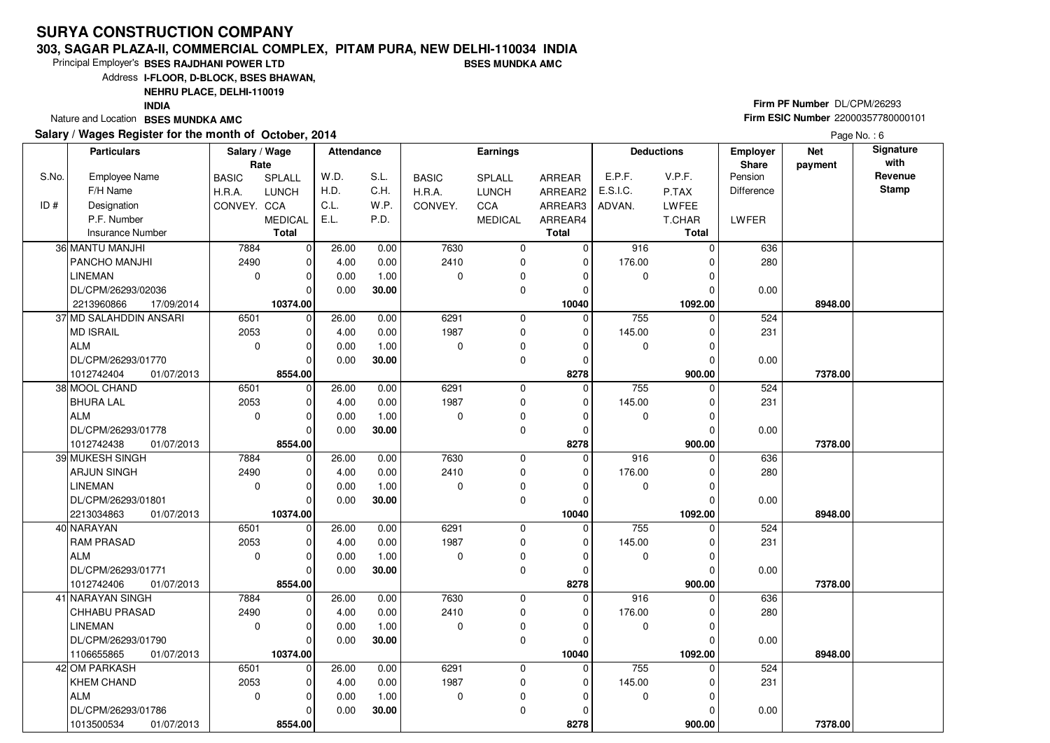### **303, SAGAR PLAZA-II, COMMERCIAL COMPLEX, PITAM PURA, NEW DELHI-110034 INDIABSES MUNDKA AMC**

8554.00

1013500534 **8554.00**01/07/2013

Principal Employer's**BSES RAJDHANI POWER LTD**

Address**I-FLOOR, D-BLOCK, BSES BHAWAN,**

**NEHRU PLACE, DELHI-110019**

**INDIA**

Nature and Location **BSES MUNDKA AMC** 

### **Salary / Wages Register for the month of October, 2014**

# **Firm PF Number** DL/CPM/26293 **Firm ESIC Number** <sup>22000357780000101</sup>

 **900.00 7378.00**

Page No.: 6

|       | <b>Particulars</b>                                 | Salary / Wage<br>Rate |                         | <b>Attendance</b> |       |                  | <b>Earnings</b> |               |           | <b>Deductions</b> | <b>Employer</b><br>Share | <b>Net</b><br>payment | Signature<br>with |
|-------|----------------------------------------------------|-----------------------|-------------------------|-------------------|-------|------------------|-----------------|---------------|-----------|-------------------|--------------------------|-----------------------|-------------------|
| S.No. | <b>Employee Name</b>                               | <b>BASIC</b>          | SPLALL                  | W.D.              | S.L.  | <b>BASIC</b>     | <b>SPLALL</b>   | <b>ARREAR</b> | E.P.F.    | V.P.F.            | Pension                  |                       | Revenue           |
|       | F/H Name                                           | H.R.A.                | <b>LUNCH</b>            | H.D.              | C.H.  | H.R.A.           | <b>LUNCH</b>    | ARREAR2       | E.S.I.C.  | P.TAX             | Difference               |                       | <b>Stamp</b>      |
| ID#   | Designation                                        | CONVEY, CCA           |                         | C.L.              | W.P.  | CONVEY.          | CCA             | ARREAR3       | ADVAN.    | <b>LWFEE</b>      |                          |                       |                   |
|       | P.F. Number                                        |                       | <b>MEDICAL</b>          | E.L.              | P.D.  |                  | <b>MEDICAL</b>  | ARREAR4       |           | T.CHAR            | <b>LWFER</b>             |                       |                   |
|       | <b>Insurance Number</b>                            |                       | <b>Total</b>            |                   |       |                  |                 | <b>Total</b>  |           | <b>Total</b>      |                          |                       |                   |
|       | 36 MANTU MANJHI                                    | 7884                  | $\mathbf 0$             | 26.00             | 0.00  | 7630             | 0               | $\mathbf 0$   | 916       | $\Omega$          | 636                      |                       |                   |
|       | <b>PANCHO MANJHI</b>                               | 2490                  | $\mathbf 0$             | 4.00              | 0.00  | 2410             | 0               | $\mathbf 0$   | 176.00    |                   | 280                      |                       |                   |
|       | <b>LINEMAN</b>                                     | $\Omega$              | $\Omega$                | 0.00              |       | $\Omega$         | 0               | $\Omega$      | 0         |                   |                          |                       |                   |
|       | DL/CPM/26293/02036                                 |                       | $\Omega$                | 0.00              | 1.00  |                  | $\Omega$        | $\Omega$      |           |                   | 0.00                     |                       |                   |
|       |                                                    |                       |                         |                   | 30.00 |                  |                 |               |           |                   |                          |                       |                   |
|       | 2213960866<br>17/09/2014<br>37 MD SALAHDDIN ANSARI |                       | 10374.00                |                   |       |                  |                 | 10040         | 755       | 1092.00           |                          | 8948.00               |                   |
|       |                                                    | 6501                  | $\mathbf 0$             | 26.00             | 0.00  | 6291             | 0               | $\mathbf 0$   |           | 0                 | 524                      |                       |                   |
|       | MD ISRAIL<br>ALM                                   | 2053                  | $\mathbf 0$<br>$\Omega$ | 4.00              | 0.00  | 1987<br>$\Omega$ | 0               | 0             | 145.00    | $\Omega$          | 231                      |                       |                   |
|       |                                                    | $\mathbf 0$           |                         | 0.00              | 1.00  |                  | 0               | $\Omega$      | 0         | $\Omega$          |                          |                       |                   |
|       | DL/CPM/26293/01770                                 |                       | $\Omega$                | 0.00              | 30.00 |                  | $\mathbf 0$     | 0             |           |                   | 0.00                     |                       |                   |
|       | 1012742404<br>01/07/2013                           |                       | 8554.00                 |                   |       |                  |                 | 8278          |           | 900.00            |                          | 7378.00               |                   |
|       | 38 MOOL CHAND                                      | 6501                  | $\mathbf 0$             | 26.00             | 0.00  | 6291             | 0               | $\Omega$      | 755       | $\Omega$          | 524                      |                       |                   |
|       | <b>BHURA LAL</b>                                   | 2053                  | $\mathbf 0$             | 4.00              | 0.00  | 1987             | 0               | 0             | 145.00    | $\Omega$          | 231                      |                       |                   |
|       | ALM                                                | $\mathbf 0$           | $\mathbf 0$             | 0.00              | 1.00  | $\Omega$         | 0               | 0             | 0         | $\Omega$          |                          |                       |                   |
|       | DL/CPM/26293/01778                                 |                       | $\Omega$                | 0.00              | 30.00 |                  | $\mathbf 0$     | $\Omega$      |           | $\Omega$          | 0.00                     |                       |                   |
|       | 1012742438<br>01/07/2013                           |                       | 8554.00                 |                   |       |                  |                 | 8278          |           | 900.00            |                          | 7378.00               |                   |
|       | 39 MUKESH SINGH                                    | 7884                  | $\mathbf 0$             | 26.00             | 0.00  | 7630             | 0               | 0             | 916       |                   | 636                      |                       |                   |
|       | <b>ARJUN SINGH</b>                                 | 2490                  | $\mathbf 0$             | 4.00              | 0.00  | 2410             | 0               | 0             | 176.00    | 0                 | 280                      |                       |                   |
|       | <b>LINEMAN</b>                                     | $\mathbf 0$           | $\mathbf 0$             | 0.00              | 1.00  | $\Omega$         | $\pmb{0}$       | 0             | $\pmb{0}$ | $\Omega$          |                          |                       |                   |
|       | DL/CPM/26293/01801                                 |                       | $\Omega$                | 0.00              | 30.00 |                  | $\mathbf 0$     | $\Omega$      |           |                   | 0.00                     |                       |                   |
|       | 2213034863<br>01/07/2013                           |                       | 10374.00                |                   |       |                  |                 | 10040         |           | 1092.00           |                          | 8948.00               |                   |
|       | 40 NARAYAN                                         | 6501                  | $\mathbf 0$             | 26.00             | 0.00  | 6291             | $\mathbf 0$     | $\Omega$      | 755       | $\Omega$          | 524                      |                       |                   |
|       | <b>RAM PRASAD</b>                                  | 2053                  | $\mathbf 0$             | 4.00              | 0.00  | 1987             | 0               | 0             | 145.00    |                   | 231                      |                       |                   |
|       | ALM                                                | $\mathbf 0$           | $\mathbf 0$             | 0.00              | 1.00  | 0                | $\pmb{0}$       | 0             | 0         | $\Omega$          |                          |                       |                   |
|       | DL/CPM/26293/01771                                 |                       | $\Omega$                | 0.00              | 30.00 |                  | $\mathbf 0$     | $\Omega$      |           |                   | 0.00                     |                       |                   |
|       | 1012742406<br>01/07/2013                           |                       | 8554.00                 |                   |       |                  |                 | 8278          |           | 900.00            |                          | 7378.00               |                   |
|       | 41 NARAYAN SINGH                                   | 7884                  | $\mathbf 0$             | 26.00             | 0.00  | 7630             | $\mathbf 0$     | 0             | 916       |                   | 636                      |                       |                   |
|       | <b>CHHABU PRASAD</b>                               | 2490                  | $\mathbf 0$             | 4.00              | 0.00  | 2410             | 0               | 0             | 176.00    |                   | 280                      |                       |                   |
|       | <b>LINEMAN</b>                                     | $\mathbf 0$           | $\mathbf 0$             | 0.00              | 1.00  | 0                | 0               | 0             | 0         | $\Omega$          |                          |                       |                   |
|       | DL/CPM/26293/01790                                 |                       | $\Omega$                | 0.00              | 30.00 |                  | $\mathbf 0$     | $\Omega$      |           |                   | 0.00                     |                       |                   |
|       | 1106655865<br>01/07/2013                           |                       | 10374.00                |                   |       |                  |                 | 10040         |           | 1092.00           |                          | 8948.00               |                   |
|       | 42 OM PARKASH                                      | 6501                  | $\mathbf 0$             | 26.00             | 0.00  | 6291             | 0               | $\Omega$      | 755       | $\Omega$          | 524                      |                       |                   |
|       | <b>KHEM CHAND</b>                                  | 2053                  | $\mathbf 0$             | 4.00              | 0.00  | 1987             | $\mathbf 0$     | 0             | 145.00    |                   | 231                      |                       |                   |
|       | <b>ALM</b>                                         | $\mathbf 0$           | 0                       | 0.00              | 1.00  | 0                | $\mathbf 0$     | 0             | 0         | 0                 |                          |                       |                   |
|       | DL/CPM/26293/01786                                 |                       | $\mathbf 0$             | 0.00              | 30.00 |                  | $\Omega$        | $\Omega$      |           | $\Omega$          | 0.00                     |                       |                   |

 **8278**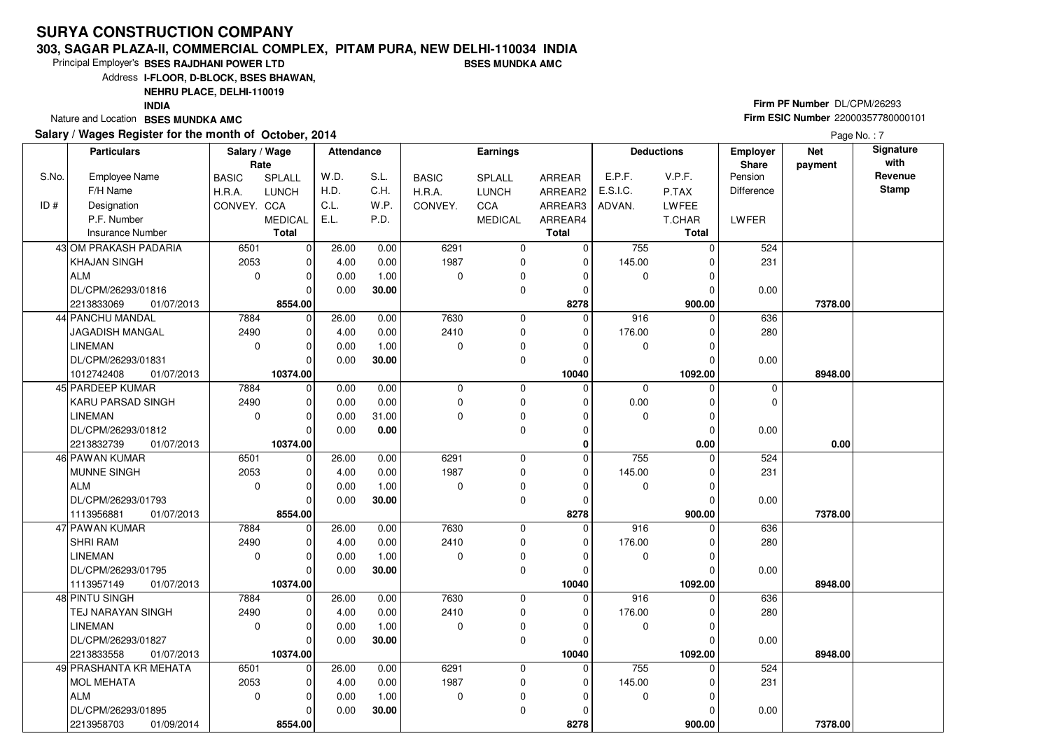### **303, SAGAR PLAZA-II, COMMERCIAL COMPLEX, PITAM PURA, NEW DELHI-110034 INDIABSES MUNDKA AMC**

8554.00

01/09/2014

2213958703 **8554.00**

Principal Employer's**BSES RAJDHANI POWER LTD**

Address**I-FLOOR, D-BLOCK, BSES BHAWAN,**

**NEHRU PLACE, DELHI-110019**

**INDIA**

Nature and Location **BSES MUNDKA AMC** 

### **Salary / Wages Register for the month of October, 2014**

# **Firm PF Number** DL/CPM/26293 **Firm ESIC Number** <sup>22000357780000101</sup>

 **900.00 7378.00**

|       | Salary / Wages Register for the month of October, 2014 |               |                |                   |       |              |                 |                |             |                   |                   |            | Page No.: 7  |
|-------|--------------------------------------------------------|---------------|----------------|-------------------|-------|--------------|-----------------|----------------|-------------|-------------------|-------------------|------------|--------------|
|       | <b>Particulars</b>                                     | Salary / Wage |                | <b>Attendance</b> |       |              | <b>Earnings</b> |                |             | <b>Deductions</b> | <b>Employer</b>   | <b>Net</b> | Signature    |
|       |                                                        | Rate          |                |                   |       |              |                 |                |             |                   | <b>Share</b>      | payment    | with         |
| S.No. | Employee Name                                          | <b>BASIC</b>  | SPLALL         | W.D.              | S.L.  | <b>BASIC</b> | <b>SPLALL</b>   | ARREAR         | E.P.F.      | V.P.F.            | Pension           |            | Revenue      |
|       | F/H Name                                               | H.R.A.        | <b>LUNCH</b>   | H.D.              | C.H.  | H.R.A.       | <b>LUNCH</b>    | ARREAR2        | E.S.I.C.    | P.TAX             | <b>Difference</b> |            | <b>Stamp</b> |
| ID#   | Designation                                            | CONVEY. CCA   |                | C.L.              | W.P.  | CONVEY.      | <b>CCA</b>      | ARREAR3        | ADVAN.      | <b>LWFEE</b>      |                   |            |              |
|       | P.F. Number                                            |               | <b>MEDICAL</b> | E.L.              | P.D.  |              | <b>MEDICAL</b>  | ARREAR4        |             | T.CHAR            | LWFER             |            |              |
|       | <b>Insurance Number</b>                                |               | <b>Total</b>   |                   |       |              |                 | <b>Total</b>   |             | <b>Total</b>      |                   |            |              |
|       | 43 OM PRAKASH PADARIA                                  | 6501          | $\overline{0}$ | 26.00             | 0.00  | 6291         | 0               | 0              | 755         | 0                 | 524               |            |              |
|       | KHAJAN SINGH                                           | 2053          | $\overline{0}$ | 4.00              | 0.00  | 1987         | 0               | 0              | 145.00      |                   | 231               |            |              |
|       | <b>ALM</b>                                             | $\mathbf 0$   | $\overline{0}$ | 0.00              | 1.00  | $\Omega$     | 0               | O              | $\mathbf 0$ | 0                 |                   |            |              |
|       | DL/CPM/26293/01816                                     |               | $\Omega$       | 0.00              | 30.00 |              | 0               | 0              |             |                   | 0.00              |            |              |
|       | 2213833069<br>01/07/2013                               |               | 8554.00        |                   |       |              |                 | 8278           |             | 900.00            |                   | 7378.00    |              |
|       | 44 PANCHU MANDAL                                       | 7884          | 0              | 26.00             | 0.00  | 7630         | 0               | 0              | 916         | 0                 | 636               |            |              |
|       | JAGADISH MANGAL                                        | 2490          | $\overline{0}$ | 4.00              | 0.00  | 2410         | 0               | $\Omega$       | 176.00      |                   | 280               |            |              |
|       | <b>LINEMAN</b>                                         | 0             | 0              | 0.00              | 1.00  | $\Omega$     | 0               | 0              | 0           | 0                 |                   |            |              |
|       | DL/CPM/26293/01831                                     |               | $\Omega$       | 0.00              | 30.00 |              | 0               | $\Omega$       |             |                   | 0.00              |            |              |
|       | 1012742408<br>01/07/2013                               |               | 10374.00       |                   |       |              |                 | 10040          |             | 1092.00           |                   | 8948.00    |              |
|       | 45 PARDEEP KUMAR                                       | 7884          | $\overline{0}$ | 0.00              | 0.00  | 0            | 0               | 0              | $\mathbf 0$ | 0                 | $\mathbf 0$       |            |              |
|       | KARU PARSAD SINGH                                      | 2490          | $\overline{0}$ | 0.00              | 0.00  | 0            | 0               | 0              | 0.00        | 0                 | $\Omega$          |            |              |
|       | <b>LINEMAN</b>                                         | $\mathbf 0$   | 0              | 0.00              | 31.00 | $\Omega$     | 0               | 0              | 0           | 0                 |                   |            |              |
|       | DL/CPM/26293/01812                                     |               | 0              | 0.00              | 0.00  |              | 0               | 0              |             | 0                 | 0.00              |            |              |
|       | 2213832739<br>01/07/2013                               |               | 10374.00       |                   |       |              |                 | 0              |             | 0.00              |                   | 0.00       |              |
|       | 46 PAWAN KUMAR                                         | 6501          | $\overline{0}$ | 26.00             | 0.00  | 6291         | 0               | $\overline{0}$ | 755         | 0                 | 524               |            |              |
|       | <b>MUNNE SINGH</b>                                     | 2053          | 0              | 4.00              | 0.00  | 1987         | 0               | $\Omega$       | 145.00      |                   | 231               |            |              |
|       | <b>ALM</b>                                             | 0             | 0              | 0.00              | 1.00  | $\mathbf 0$  | 0               | 0              | 0           | 0                 |                   |            |              |
|       | DL/CPM/26293/01793                                     |               | 0              | 0.00              | 30.00 |              | 0               | 0              |             |                   | 0.00              |            |              |
|       | 1113956881<br>01/07/2013                               |               | 8554.00        |                   |       |              |                 | 8278           |             | 900.00            |                   | 7378.00    |              |
|       | 47 PAWAN KUMAR                                         | 7884          | $\Omega$       | 26.00             | 0.00  | 7630         | 0               | $\Omega$       | 916         | n                 | 636               |            |              |
|       | <b>SHRI RAM</b>                                        | 2490          | 0              | 4.00              | 0.00  | 2410         | 0               | 0              | 176.00      | 0                 | 280               |            |              |
|       | <b>LINEMAN</b>                                         | $\mathbf 0$   | 0              | 0.00              | 1.00  | $\Omega$     | 0               | 0              | $\mathbf 0$ |                   |                   |            |              |
|       | DL/CPM/26293/01795                                     |               | $\Omega$       | 0.00              | 30.00 |              | 0               | O              |             |                   | 0.00              |            |              |
|       | 1113957149<br>01/07/2013                               |               | 10374.00       |                   |       |              |                 | 10040          |             | 1092.00           |                   | 8948.00    |              |
|       | 48 PINTU SINGH                                         | 7884          | $\overline{0}$ | 26.00             | 0.00  | 7630         | 0               | $\mathbf 0$    | 916         | 0                 | 636               |            |              |
|       | TEJ NARAYAN SINGH                                      | 2490          | 0              | 4.00              | 0.00  | 2410         | 0               | 0              | 176.00      |                   | 280               |            |              |
|       | <b>LINEMAN</b>                                         | $\mathbf 0$   | 0              | 0.00              | 1.00  | $\Omega$     | 0               | 0              | 0           | 0                 |                   |            |              |
|       | DL/CPM/26293/01827                                     |               | O              | 0.00              | 30.00 |              | 0               | 0              |             |                   | 0.00              |            |              |
|       | 2213833558<br>01/07/2013                               |               | 10374.00       |                   |       |              |                 | 10040          |             | 1092.00           |                   | 8948.00    |              |
|       | 49 PRASHANTA KR MEHATA                                 | 6501          | $\overline{0}$ | 26.00             | 0.00  | 6291         | 0               | $\mathbf 0$    | 755         | 0                 | 524               |            |              |
|       | <b>MOL MEHATA</b>                                      | 2053          | $\overline{0}$ | 4.00              | 0.00  | 1987         | 0               | 0              | 145.00      | 0                 | 231               |            |              |
|       | <b>ALM</b>                                             | $\mathbf 0$   | $\overline{0}$ | 0.00              | 1.00  | $\mathbf 0$  | $\Omega$        | 0              | 0           | 0                 |                   |            |              |
|       | DI /CPM/26293/01895                                    |               | n١             | 0.00              | 30.00 |              | $\Omega$        | $\Omega$       |             | 0                 | 0.00              |            |              |

 **8278**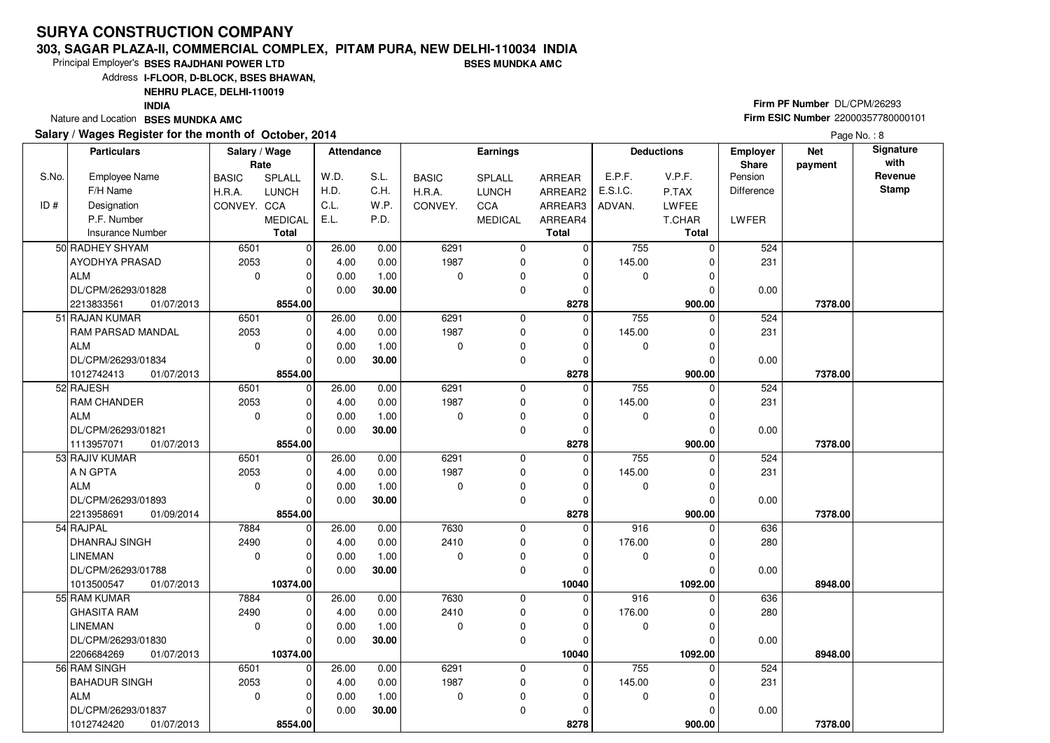#### **303, SAGAR PLAZA-II, COMMERCIAL COMPLEX, PITAM PURA, NEW DELHI-110034 INDIABSES MUNDKA AMC**

Principal Employer's**BSES RAJDHANI POWER LTD**

Address**I-FLOOR, D-BLOCK, BSES BHAWAN,**

**NEHRU PLACE, DELHI-110019**

 $\overline{0}$ 

 $\overline{0}$  $\overline{0}$ 8554.00  0.000.00

 1.00**30.00**

**INDIA**

Nature and Location **BSES MUNDKA AMC** 

S.No.

ID #

 $\overline{50}$ 

 $51$ 

 $\overline{52}$ 

 $\overline{53}$ 

54

55

 $\overline{56}$ 

ALM

1012742420 **8554.00**

DL/CPM/26293/01837

01/07/2013

#### **Salary / Wages Register for the month of October, 2014Deploted for the**

# **Firm PF Number** DL/CPM/26293 **Firm ESIC Number** <sup>22000357780000101</sup>

 **900.00 7378.00**

| wages Register for the month of October, 2014 |               |                |                   |       |              |                   |               |          |                      |                                 |                       | Page No.: 8              |
|-----------------------------------------------|---------------|----------------|-------------------|-------|--------------|-------------------|---------------|----------|----------------------|---------------------------------|-----------------------|--------------------------|
| <b>Particulars</b>                            | Salary / Wage | Rate           | <b>Attendance</b> |       |              | <b>Earnings</b>   |               |          | <b>Deductions</b>    | <b>Employer</b><br><b>Share</b> | <b>Net</b><br>payment | <b>Signature</b><br>with |
| Employee Name                                 | <b>BASIC</b>  | SPLALL         | W.D.              | S.L.  | <b>BASIC</b> | <b>SPLALL</b>     | <b>ARREAR</b> | E.P.F.   | V.P.F.               | Pension                         |                       | Revenue                  |
| F/H Name                                      | H.R.A.        | LUNCH          | H.D.              | C.H.  | H.R.A.       | <b>LUNCH</b>      | ARREAR2       | E.S.I.C. | P.TAX                | Difference                      |                       | <b>Stamp</b>             |
| Designation                                   | CONVEY. CCA   |                | C.L.              | W.P.  | CONVEY.      | <b>CCA</b>        | ARREAR3       | ADVAN.   | <b>LWFEE</b>         |                                 |                       |                          |
| P.F. Number                                   |               | <b>MEDICAL</b> | E.L.              | P.D.  |              | <b>MEDICAL</b>    | ARREAR4       |          | T.CHAR               | <b>LWFER</b>                    |                       |                          |
| <b>Insurance Number</b>                       |               | <b>Total</b>   |                   |       |              |                   | <b>Total</b>  |          | <b>Total</b>         |                                 |                       |                          |
| RADHEY SHYAM                                  | 6501          | $\Omega$       | 26.00             | 0.00  | 6291         | $\Omega$          | $\Omega$      | 755      | $\Omega$             | 524                             |                       |                          |
| AYODHYA PRASAD                                | 2053          | 0              | 4.00              | 0.00  | 1987         | 0                 | $\mathbf 0$   | 145.00   | $\Omega$             | 231                             |                       |                          |
| ALM                                           | $\Omega$      | $\Omega$       | 0.00              | 1.00  | $\Omega$     | 0                 | 0             | 0        | $\Omega$             |                                 |                       |                          |
| DL/CPM/26293/01828                            |               | ŋ              | 0.00              | 30.00 |              | 0                 | 0             |          | $\Omega$             | 0.00                            |                       |                          |
| 2213833561<br>01/07/2013                      |               | 8554.00        |                   |       |              |                   | 8278          |          | 900.00               |                                 | 7378.00               |                          |
| <b>RAJAN KUMAR</b>                            | 6501          | $\Omega$       | 26.00             | 0.00  | 6291         | 0                 | 0             | 755      | 0                    | 524                             |                       |                          |
| RAM PARSAD MANDAL                             | 2053          | 0              | 4.00              | 0.00  | 1987         | 0                 | 0             | 145.00   | $\Omega$             | 231                             |                       |                          |
| <b>ALM</b>                                    | 0             | 0              | 0.00              | 1.00  | 0            | 0                 | 0             | 0        | 0                    |                                 |                       |                          |
| DL/CPM/26293/01834                            |               | ŋ              | 0.00              | 30.00 |              | 0                 | $\mathbf 0$   |          | $\Omega$             | 0.00                            |                       |                          |
| 1012742413<br>01/07/2013                      |               | 8554.00        |                   |       |              |                   | 8278          |          | 900.00               |                                 | 7378.00               |                          |
| RAJESH                                        | 6501          | $\Omega$       | 26.00             | 0.00  | 6291         | $\mathbf 0$       | $\mathbf 0$   | 755      | $\Omega$             | 524                             |                       |                          |
| RAM CHANDER                                   | 2053          | $\Omega$       | 4.00              | 0.00  | 1987         | 0                 | 0             | 145.00   | $\Omega$             | 231                             |                       |                          |
| ALM                                           | $\Omega$      | $\Omega$       | 0.00              | 1.00  | 0            | 0                 | 0             | 0        | 0                    |                                 |                       |                          |
| DL/CPM/26293/01821                            |               | 0              | 0.00              | 30.00 |              | 0                 | 0             |          | $\Omega$             | 0.00                            |                       |                          |
| 1113957071<br>01/07/2013                      |               | 8554.00        |                   |       |              |                   | 8278          |          | 900.00               |                                 | 7378.00               |                          |
| RAJIV KUMAR                                   | 6501          | 0              | 26.00             | 0.00  | 6291         | 0                 | 0             | 755      | $\Omega$             | 524                             |                       |                          |
| A N GPTA                                      | 2053          | $\Omega$       | 4.00              | 0.00  | 1987         | 0                 | $\mathbf 0$   | 145.00   | $\Omega$             | 231                             |                       |                          |
| ALM                                           | $\Omega$      | 0              | 0.00              | 1.00  | 0            | 0                 | $\mathbf 0$   | 0        | $\Omega$             |                                 |                       |                          |
| DL/CPM/26293/01893                            |               | 0              | 0.00              | 30.00 |              | 0                 | 0             |          | $\Omega$             | 0.00                            |                       |                          |
| 2213958691<br>01/09/2014                      |               | 8554.00        |                   |       |              |                   | 8278          |          | 900.00               |                                 | 7378.00               |                          |
| RAJPAL                                        | 7884          | $\Omega$       | 26.00             | 0.00  | 7630         | $\mathbf 0$       | $\Omega$      | 916      | ∩                    | 636                             |                       |                          |
| <b>DHANRAJ SINGH</b>                          | 2490          | 0              | 4.00              | 0.00  | 2410         | 0                 | $\mathbf 0$   | 176.00   | 0                    | 280                             |                       |                          |
| LINEMAN                                       | $\Omega$      | 0              | 0.00              | 1.00  | 0            | 0                 | 0             | 0        | 0                    |                                 |                       |                          |
| DL/CPM/26293/01788                            |               | 0              | 0.00              | 30.00 |              | 0                 | 0             |          | 0                    | 0.00                            |                       |                          |
| 1013500547<br>01/07/2013                      |               | 10374.00       |                   |       |              |                   | 10040         |          | 1092.00              |                                 | 8948.00               |                          |
| <b>RAM KUMAR</b>                              | 7884          | 0              | 26.00             | 0.00  | 7630         | 0                 | 0             | 916      | $\Omega$             | 636                             |                       |                          |
| <b>GHASITA RAM</b>                            | 2490          | 0              | 4.00              | 0.00  | 2410         | 0                 | $\mathbf 0$   | 176.00   | $\Omega$             | 280                             |                       |                          |
| LINEMAN<br>DL/CPM/26293/01830                 | 0             | 0<br>0         | 0.00              | 1.00  | 0            | 0<br>$\mathbf{0}$ | 0<br>$\Omega$ | 0        | $\Omega$<br>$\Omega$ |                                 |                       |                          |
| 2206684269<br>01/07/2013                      |               | 10374.00       | 0.00              | 30.00 |              |                   | 10040         |          | 1092.00              | 0.00                            | 8948.00               |                          |
| <b>RAM SINGH</b>                              | 6501          | $\Omega$       | 26.00             | 0.00  | 6291         | 0                 | 0             | 755      | 0                    | 524                             |                       |                          |
| <b>BAHADUR SINGH</b>                          | 2053          | 0              | 4.00              | 0.00  | 1987         | 0                 | 0             | 145.00   | 0                    | 231                             |                       |                          |
|                                               |               |                |                   |       |              |                   |               |          |                      |                                 |                       |                          |

 $\overline{0}$ 

 $\overline{0}$  $\overline{0}$ 

 $\overline{0}$  $\overline{0}$  **8278**  $\overline{0}$ 

 $\overline{0}$  $\overline{0}$ 900.00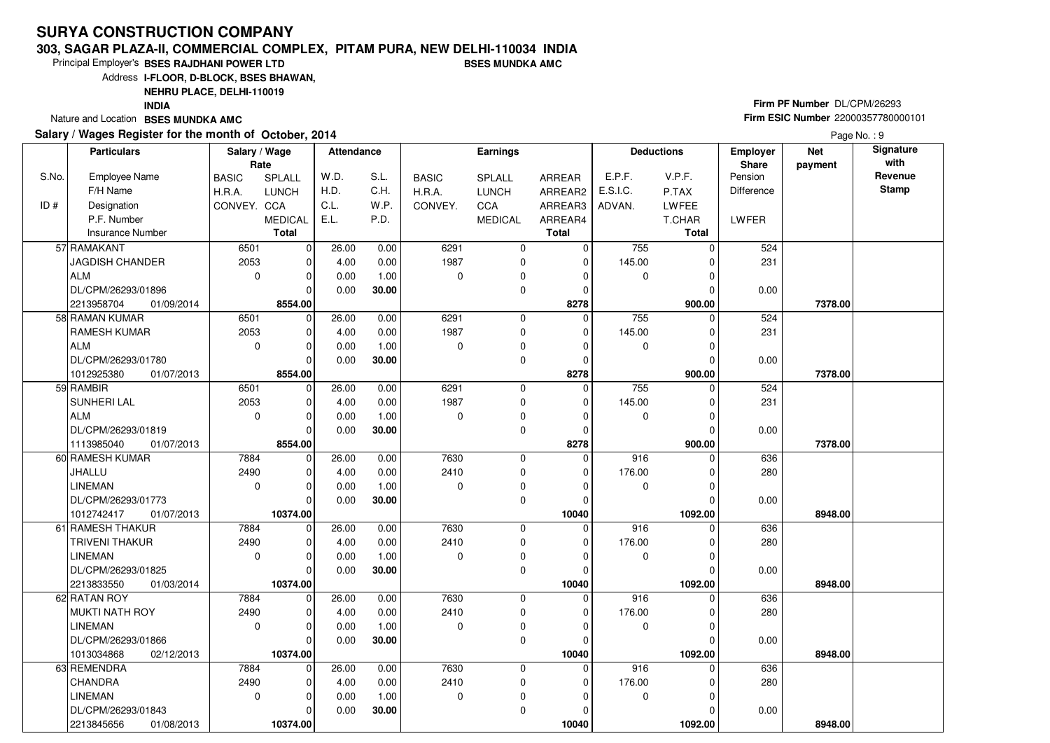#### **303, SAGAR PLAZA-II, COMMERCIAL COMPLEX, PITAM PURA, NEW DELHI-110034 INDIABSES MUNDKA AMC**

Principal Employer's**BSES RAJDHANI POWER LTD**

Address**I-FLOOR, D-BLOCK, BSES BHAWAN,**

**NEHRU PLACE, DELHI-110019**

 $\overline{0}$ 

**10374.00** 01/08/2013

 $\Omega$  $\overline{\phantom{0}}$ 10374.00  0.000.00

 1.00**30.00**

**INDIA**

Nature and Location **BSES MUNDKA AMC** 

S.No.

 $ID#$ 

LINEMAN

2213845656

DL/CPM/26293/01843

### **Salary / Wages Register for the month of October, 2014**

# **Firm PF Number** DL/CPM/26293 **Firm ESIC Number** <sup>22000357780000101</sup>

 **1092.00 8948.00**

 **Attendance EarningsBASIC**  H.R.A.CONVEY. CCA SPLALL LUNCH MEDICALARREAR ARREAR2 ARREAR3 ARREAR4**Total**Employee NameF/H Name Designation P.F. Number Insurance Number**Salary / Wage RateBASIC**  H.R.A.**CONVEY** SPLALL LUNCHC<sub>C</sub>A MEDICAL**Total**ADVAN.P.TAX LWFEE T.CHAR **Total**E.P.F. V.P.F. E.S.I.C.Pension DifferenceLWFER**Deductions Employer Share**W.D.H.D.C.L. E.L.S.L.C.H.W<sub>P</sub> P.D.**Net paymentSignature with Revenue StampParticulars** 6501 2053 $\overline{0}$  $\overline{0}$  $\overline{0}$  $\overline{0}$  $\overline{0}$ 8554.00  $\overline{0}$  $\overline{0}$  $\overline{0}$  $\overline{0}$   **8278** $\overline{0}$  6291 1987 $\overline{0}$  $\overline{0}$  $\overline{0}$  $\overline{0}$  $\overline{0}$  755 0 $\overline{0}$  145.00 $\overline{0}$  $\overline{0}$  $\overline{0}$ 900.00  **900.00 7378.00** 524 231 0.0057 RAMAKANT JAGDISH CHANDERALM DL/CPM/26293/01896 01/09/2014 $2213958704$  $\overline{0}$ 26.00 4.00 0.00 0.00 0.00 0.00 1.00 **30.00** 6501 2053 $\overline{0}$  $\overline{0}$  $\overline{0}$  $\overline{\phantom{0}}$ 8554.00  $\overline{0}$  $\overline{0}$  $\overline{0}$   **8278** $\overline{0}$  6291 1987 $\overline{0}$  $\overline{0}$  $\overline{0}$  $\overline{0}$  $\overline{0}$  755 0 $\overline{0}$  145.00 $\overline{0}$  $\overline{0}$  $\overline{0}$ 900.00  **900.00 7378.00** 524 231 0.0058 RAMAN KUMAR RAMESH KUMARALM DL/CPM/26293/01780 1012925380 **8554.00**01/07/2013 $\overline{0}$ 26.00 4.00 0.00 0.00 0.00 0.00 1.00 **30.00** 6501 2053 $\overline{0}$  $\overline{0}$  $\overline{0}$  $\overline{\phantom{0}}$ 8554.00  $\overline{0}$  $\overline{0}$  $\overline{0}$   **8278** $\overline{0}$  6291 1987 $\overline{0}$  $\overline{0}$  $\overline{0}$  $\overline{0}$  $\overline{0}$  755 0 $\overline{0}$  145.00 $\overline{0}$  $\overline{0}$  $\overline{0}$ 900.00  **900.00 7378.00** 524 231 0.0059 RAMBIRSUNHERI LAL ALM DL/CPM/26293/01819 01/07/20131113985040 **8554.00** $\overline{0}$ 26.00 4.00 0.00 0.00 0.00 0.00 1.00 **30.00** 7884 2490 $\overline{0}$  $\overline{0}$  $\overline{0}$  $\overline{\phantom{0}}$ 10374.00  $\overline{0}$  $\overline{0}$  $\overline{0}$   **10040** $\overline{0}$  7630 2410 $\overline{0}$  $\overline{0}$  $\overline{0}$  $\overline{0}$  $\overline{0}$ 916 C  $\overline{0}$  176.00 $\overline{0}$  $\overline{0}$  $\overline{0}$   **1092.00 8948.00** 636 280 0.0060 RAMESH KUMARJHALLU LINEMAN DL/CPM/26293/01773 **10374.00** 01/07/2013101274241726.00 4.00 0.00 0.00 0.00 0.00 1.00 **30.00** 7884 2490 $\overline{0}$  $\Omega$  $\Omega$  $\Omega$  $\overline{\phantom{0}}$ 10374.00  $\overline{0}$  $\overline{0}$  $\overline{0}$   **10040** $\overline{0}$  7630 2410 $\overline{0}$  0 $\overline{0}$  $\overline{0}$  $\overline{0}$  916 0 $\overline{0}$  176.00 $\overline{0}$  $\overline{0}$  $\overline{0}$ 1092.00  **1092.00 8948.00** 636 280 0.0061 RAMESH THAKUR TRIVENI THAKURLINEMAN DL/CPM/26293/01825 **10374.00** 01/03/2014221383355026.00 4.00 0.00 0.00 0.00 0.00 1.00 **30.00** 7884 2490 $\overline{0}$  $\overline{\phantom{0}}$  $\Omega$  $\Omega$  $\overline{\phantom{0}}$ 10374.00  $\overline{0}$  $\overline{0}$  $\overline{0}$   **10040** $\overline{0}$  7630 2410 $\overline{0}$  0 $\overline{0}$  $\overline{0}$  $\overline{0}$  916 0 $\overline{0}$  176.00 $\overline{0}$  $\overline{0}$  $\overline{0}$   **1092.00 8948.00** 636 280 0.0062 RATAN ROY MUKTI NATH ROYLINEMAN DL/CPM/26293/01866 **10374.00** 02/12/2013101303486826.00 4.00 0.00 0.00 0.00 0.00 1.00 **30.00** 7884 2490 $\overline{0}$  $\overline{0}$  $\overline{0}$  7630 2410 $\overline{0}$  $\overline{0}$  $916$  0  $\overline{0}$  176.00 636 28063 REMENDRA **CHANDRA** 26.00 4.00 $0.00$ 0.00

 $\overline{0}$ 

 $\overline{0}$  $\overline{0}$ 

 $\overline{0}$  $\overline{0}$  **10040**  $\overline{0}$ 

 $\overline{0}$  $\overline{0}$ 1092.00

0.00

Page No.: 9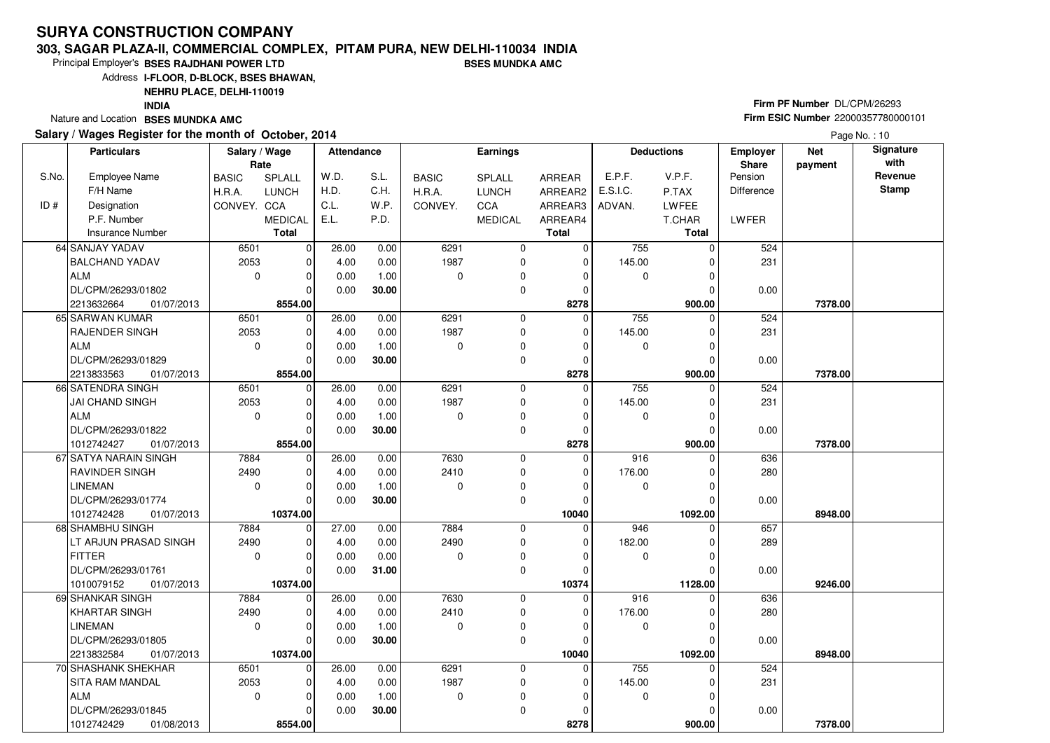#### **303, SAGAR PLAZA-II, COMMERCIAL COMPLEX, PITAM PURA, NEW DELHI-110034 INDIABSES MUNDKA AMC**

 $\overline{0}$ 8554.00 0.00

**30.00**

Principal Employer's**BSES RAJDHANI POWER LTD**

Address**I-FLOOR, D-BLOCK, BSES BHAWAN,**

**NEHRU PLACE, DELHI-110019**

**INDIA**

Nature and Location **BSES MUNDKA AMC** 

DL/CPM/26293/01845

1012742429 **8554.00**

01/08/2013

### **Salary / Wages Register for the month of October, 2014**

# **Firm PF Number** DL/CPM/26293 **Firm ESIC Number** <sup>22000357780000101</sup>

 **900.00 7378.00**

|       | Salary / Wages Register for the month of October, 2014 |                       |                |                   |       |              |                |               |             |                   |                   |                       | Page No.: 10      |
|-------|--------------------------------------------------------|-----------------------|----------------|-------------------|-------|--------------|----------------|---------------|-------------|-------------------|-------------------|-----------------------|-------------------|
|       | <b>Particulars</b>                                     | Salary / Wage<br>Rate |                | <b>Attendance</b> |       |              | Earnings       |               |             | <b>Deductions</b> | Employer<br>Share | <b>Net</b><br>payment | Signature<br>with |
| S.No. | Employee Name                                          | <b>BASIC</b>          | SPLALL         | W.D.              | S.L.  | <b>BASIC</b> | SPLALL         | <b>ARREAR</b> | E.P.F.      | V.P.F.            | Pension           |                       | Revenue           |
|       | F/H Name                                               | H.R.A.                | <b>LUNCH</b>   | H.D.              | C.H.  | H.R.A.       | <b>LUNCH</b>   | ARREAR2       | E.S.I.C.    | P.TAX             | <b>Difference</b> |                       | <b>Stamp</b>      |
| ID#   | Designation                                            | CONVEY, CCA           |                | C.L.              | W.P.  | CONVEY.      | <b>CCA</b>     | ARREAR3       | ADVAN.      | LWFEE             |                   |                       |                   |
|       | P.F. Number                                            |                       | <b>MEDICAL</b> | E.L.              | P.D.  |              | <b>MEDICAL</b> | ARREAR4       |             | T.CHAR            | LWFER             |                       |                   |
|       | <b>Insurance Number</b>                                |                       | <b>Total</b>   |                   |       |              |                | <b>Total</b>  |             | <b>Total</b>      |                   |                       |                   |
|       | 64 SANJAY YADAV                                        | 6501                  | $\Omega$       | 26.00             | 0.00  | 6291         | $\Omega$       | $\mathbf 0$   | 755         | 0                 | 524               |                       |                   |
|       | <b>BALCHAND YADAV</b>                                  | 2053                  | 0              | 4.00              | 0.00  | 1987         | $\mathbf 0$    | 0             | 145.00      | $\Omega$          | 231               |                       |                   |
|       | <b>ALM</b>                                             | $\mathbf 0$           | 0              | 0.00              | 1.00  | 0            | 0              | $\mathbf 0$   | $\Omega$    | $\mathbf 0$       |                   |                       |                   |
|       | DL/CPM/26293/01802                                     |                       | U              | 0.00              | 30.00 |              | $\Omega$       | $\Omega$      |             | $\Omega$          | 0.00              |                       |                   |
|       | 2213632664<br>01/07/2013                               |                       | 8554.00        |                   |       |              |                | 8278          |             | 900.00            |                   | 7378.00               |                   |
|       | 65 SARWAN KUMAR                                        | 6501                  | $\Omega$       | 26.00             | 0.00  | 6291         | $\mathbf 0$    | $\mathbf 0$   | 755         | $\Omega$          | 524               |                       |                   |
|       | <b>RAJENDER SINGH</b>                                  | 2053                  | O              | 4.00              | 0.00  | 1987         | $\Omega$       | $\Omega$      | 145.00      | $\Omega$          | 231               |                       |                   |
|       | <b>ALM</b>                                             | 0                     | 0              | 0.00              | 1.00  | $\mathbf 0$  | $\Omega$       | $\Omega$      | 0           | $\Omega$          |                   |                       |                   |
|       | DL/CPM/26293/01829                                     |                       | $\Omega$       | 0.00              | 30.00 |              | $\Omega$       | $\Omega$      |             | $\Omega$          | 0.00              |                       |                   |
|       | 2213833563<br>01/07/2013                               |                       | 8554.00        |                   |       |              |                | 8278          |             | 900.00            |                   | 7378.00               |                   |
|       | 66 SATENDRA SINGH                                      | 6501                  | $\Omega$       | 26.00             | 0.00  | 6291         | $\mathbf 0$    | $\Omega$      | 755         | $\Omega$          | 524               |                       |                   |
|       | <b>JAI CHAND SINGH</b>                                 | 2053                  | 0              | 4.00              | 0.00  | 1987         | $\mathbf 0$    | $\mathbf 0$   | 145.00      | $\Omega$          | 231               |                       |                   |
|       | <b>ALM</b>                                             | 0                     | $\Omega$       | 0.00              | 1.00  | $\mathbf 0$  | $\mathbf 0$    | $\mathbf 0$   | 0           | $\mathbf 0$       |                   |                       |                   |
|       | DL/CPM/26293/01822                                     |                       | U              | 0.00              | 30.00 |              | 0              | $\Omega$      |             | $\Omega$          | 0.00              |                       |                   |
|       | 1012742427<br>01/07/2013                               |                       | 8554.00        |                   |       |              |                | 8278          |             | 900.00            |                   | 7378.00               |                   |
| 67    | <b>SATYA NARAIN SINGH</b>                              | 7884                  | $\Omega$       | 26.00             | 0.00  | 7630         | 0              | $\mathbf 0$   | 916         | $\Omega$          | 636               |                       |                   |
|       | RAVINDER SINGH                                         | 2490                  | $\overline{0}$ | 4.00              | 0.00  | 2410         | 0              | $\mathbf 0$   | 176.00      | $\mathbf 0$       | 280               |                       |                   |
|       | <b>LINEMAN</b>                                         | $\Omega$              | $\Omega$       | 0.00              | 1.00  | $\mathbf 0$  | $\mathbf 0$    | $\mathbf 0$   | $\Omega$    | $\Omega$          |                   |                       |                   |
|       | DL/CPM/26293/01774                                     |                       |                | 0.00              | 30.00 |              | $\Omega$       | $\Omega$      |             | ∩                 | 0.00              |                       |                   |
|       | 1012742428<br>01/07/2013                               |                       | 10374.00       |                   |       |              |                | 10040         |             | 1092.00           |                   | 8948.00               |                   |
|       | 68 SHAMBHU SINGH                                       | 7884                  | $\Omega$       | 27.00             | 0.00  | 7884         | $\mathbf 0$    | $\mathbf 0$   | 946         | $\Omega$          | 657               |                       |                   |
|       | LT ARJUN PRASAD SINGH                                  | 2490                  | $\Omega$       | 4.00              | 0.00  | 2490         | $\Omega$       | $\mathbf 0$   | 182.00      | $\Omega$          | 289               |                       |                   |
|       | <b>FITTER</b>                                          | $\mathbf 0$           | 0              | 0.00              | 0.00  | 0            | $\Omega$       | $\mathbf 0$   | 0           | 0                 |                   |                       |                   |
|       | DL/CPM/26293/01761                                     |                       | 0              | 0.00              | 31.00 |              | $\mathbf 0$    | O             |             | $\Omega$          | 0.00              |                       |                   |
|       | 1010079152<br>01/07/2013                               |                       | 10374.00       |                   |       |              |                | 10374         |             | 1128.00           |                   | 9246.00               |                   |
|       | 69 SHANKAR SINGH                                       | 7884                  | $\Omega$       | 26.00             | 0.00  | 7630         | $\Omega$       | 0             | 916         | $\Omega$          | 636               |                       |                   |
|       | KHARTAR SINGH                                          | 2490                  | $\Omega$       | 4.00              | 0.00  | 2410         | $\Omega$       | $\mathbf 0$   | 176.00      | $\Omega$          | 280               |                       |                   |
|       | <b>LINEMAN</b>                                         | $\mathbf 0$           | $\Omega$       | 0.00              | 1.00  | $\mathbf 0$  | $\mathbf 0$    | $\mathbf 0$   | $\mathbf 0$ | $\Omega$          |                   |                       |                   |
|       | DL/CPM/26293/01805                                     |                       | <sup>0</sup>   | 0.00              | 30.00 |              | $\mathbf 0$    | O             |             | $\Omega$          | 0.00              |                       |                   |
|       | 2213832584<br>01/07/2013                               |                       | 10374.00       |                   |       |              |                | 10040         |             | 1092.00           |                   | 8948.00               |                   |
|       | 70 SHASHANK SHEKHAR                                    | 6501                  | $\Omega$       | 26.00             | 0.00  | 6291         | $\Omega$       | $\Omega$      | 755         | $\Omega$          | 524               |                       |                   |
|       | SITA RAM MANDAL                                        | 2053                  | 0              | 4.00              | 0.00  | 1987         | $\Omega$       | $\mathbf 0$   | 145.00      | $\Omega$          | 231               |                       |                   |
|       | <b>ALM</b>                                             | $\Omega$              | $\Omega$       | 0.00              | 1.00  | $\Omega$     | $\Omega$       | $\Omega$      | $\Omega$    | $\Omega$          |                   |                       |                   |

 $\overline{0}$  **8278**

 $\overline{0}$ 900.00 0.00

 $\overline{0}$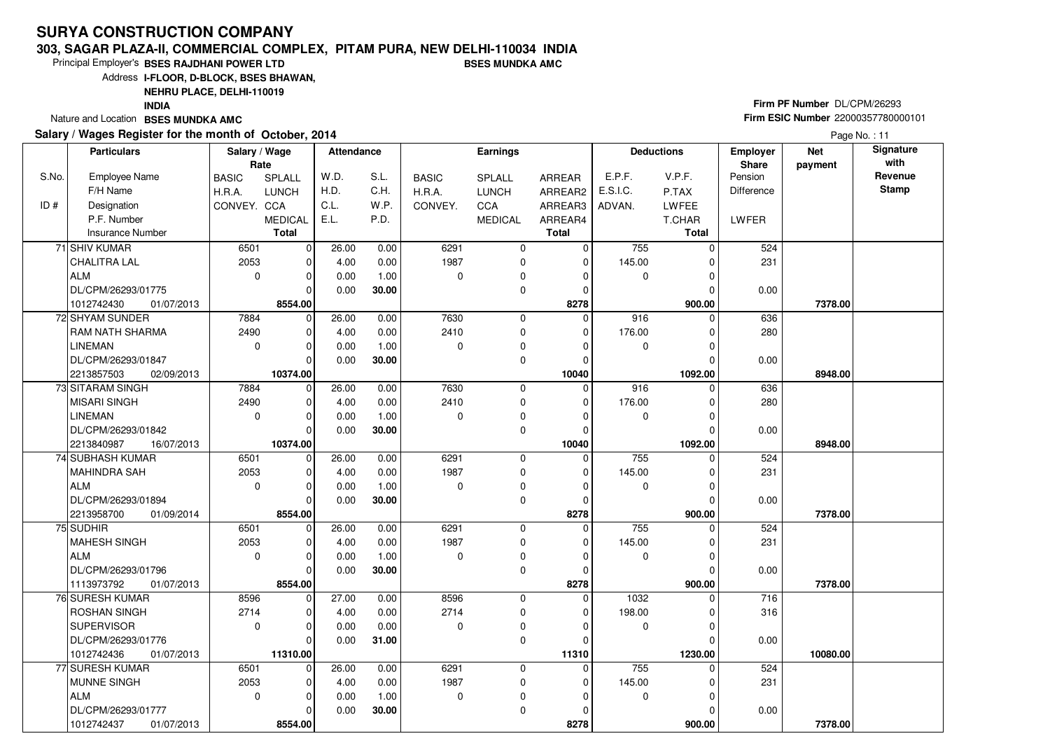#### **303, SAGAR PLAZA-II, COMMERCIAL COMPLEX, PITAM PURA, NEW DELHI-110034 INDIABSES MUNDKA AMC**

8554.00

1012742437 **8554.00**01/07/2013

Principal Employer's**BSES RAJDHANI POWER LTD**

Address**I-FLOOR, D-BLOCK, BSES BHAWAN,**

**NEHRU PLACE, DELHI-110019**

**INDIA**

Nature and Location **BSES MUNDKA AMC** 

### **Salary / Wages Register for the month of October, 2014**

# **Firm PF Number** DL/CPM/26293 **Firm ESIC Number** <sup>22000357780000101</sup>

 **900.00 7378.00**

|       | alary / Wages Register for the month of October, 2014 |                       |                |            |       |              |                | Page No.: 11   |          |                   |                                 |                       |                   |
|-------|-------------------------------------------------------|-----------------------|----------------|------------|-------|--------------|----------------|----------------|----------|-------------------|---------------------------------|-----------------------|-------------------|
|       | <b>Particulars</b>                                    | Salary / Wage<br>Rate |                | Attendance |       |              | Earnings       |                |          | <b>Deductions</b> | <b>Employer</b><br><b>Share</b> | <b>Net</b><br>payment | Signature<br>with |
| S.No. | <b>Employee Name</b>                                  | <b>BASIC</b>          | <b>SPLALL</b>  | W.D.       | S.L.  | <b>BASIC</b> | <b>SPLALL</b>  | ARREAR         | E.P.F.   | V.P.F.            | Pension                         |                       | Revenue           |
|       | F/H Name                                              | H.R.A.                | <b>LUNCH</b>   | H.D.       | C.H.  | H.R.A.       | <b>LUNCH</b>   | ARREAR2        | E.S.I.C. | P.TAX             | Difference                      |                       | <b>Stamp</b>      |
| ID#   | Designation                                           | CONVEY. CCA           |                | C.L.       | W.P.  | CONVEY.      | CCA            | ARREAR3        | ADVAN.   | LWFEE             |                                 |                       |                   |
|       | P.F. Number                                           |                       | <b>MEDICAL</b> | E.L.       | P.D.  |              | <b>MEDICAL</b> | ARREAR4        |          | T.CHAR            | LWFER                           |                       |                   |
|       | <b>Insurance Number</b>                               |                       | <b>Total</b>   |            |       |              |                | <b>Total</b>   |          | <b>Total</b>      |                                 |                       |                   |
|       | 71 SHIV KUMAR                                         | 6501                  | 0              | 26.00      | 0.00  | 6291         | 0              | 0              | 755      | 0                 | 524                             |                       |                   |
|       | <b>CHALITRA LAL</b>                                   | 2053                  | $\Omega$       | 4.00       | 0.00  | 1987         | $\Omega$       | 0              | 145.00   |                   | 231                             |                       |                   |
|       | ALM                                                   | $\Omega$              | $\Omega$       | 0.00       | 1.00  | $\Omega$     | 0              | O              | $\Omega$ |                   |                                 |                       |                   |
|       | DL/CPM/26293/01775                                    |                       | $\mathbf 0$    | 0.00       | 30.00 |              | 0              | $\Omega$       |          |                   | 0.00                            |                       |                   |
|       | 1012742430<br>01/07/2013                              |                       | 8554.00        |            |       |              |                | 8278           |          | 900.00            |                                 | 7378.00               |                   |
|       | 72 SHYAM SUNDER                                       | 7884                  | $\mathbf 0$    | 26.00      | 0.00  | 7630         | 0              | 0              | 916      |                   | 636                             |                       |                   |
|       | RAM NATH SHARMA                                       | 2490                  | $\Omega$       | 4.00       | 0.00  | 2410         | 0              | 0              | 176.00   |                   | 280                             |                       |                   |
|       | <b>LINEMAN</b>                                        | $\Omega$              | $\Omega$       | 0.00       | 1.00  | $\Omega$     | 0              | $\Omega$       | 0        |                   |                                 |                       |                   |
|       | DL/CPM/26293/01847                                    |                       | $\Omega$       | 0.00       | 30.00 |              | 0              | $\Omega$       |          |                   | 0.00                            |                       |                   |
|       | 2213857503<br>02/09/2013                              |                       | 10374.00       |            |       |              |                | 10040          |          | 1092.00           |                                 | 8948.00               |                   |
|       | 73 SITARAM SINGH                                      | 7884                  | $\mathbf 0$    | 26.00      | 0.00  | 7630         | 0              | 0              | 916      |                   | 636                             |                       |                   |
|       | MISARI SINGH                                          | 2490                  | $\Omega$       | 4.00       | 0.00  | 2410         | 0              | 0              | 176.00   |                   | 280                             |                       |                   |
|       | <b>LINEMAN</b>                                        | $\Omega$              | 0              | 0.00       | 1.00  | $\Omega$     | 0              | 0              | 0        |                   |                                 |                       |                   |
|       | DL/CPM/26293/01842                                    |                       | $\Omega$       | 0.00       | 30.00 |              | 0              | $\Omega$       |          |                   | 0.00                            |                       |                   |
|       | 2213840987<br>16/07/2013                              |                       | 10374.00       |            |       |              |                | 10040          |          | 1092.00           |                                 | 8948.00               |                   |
|       | 74 SUBHASH KUMAR                                      | 6501                  | $\mathbf 0$    | 26.00      | 0.00  | 6291         | 0              | $\Omega$       | 755      |                   | 524                             |                       |                   |
|       | MAHINDRA SAH                                          | 2053                  | $\Omega$       | 4.00       | 0.00  | 1987         | 0              | $\Omega$       | 145.00   |                   | 231                             |                       |                   |
|       | ALM                                                   | $\mathbf 0$           | $\Omega$       | 0.00       | 1.00  | $\Omega$     | 0              | $\Omega$       | 0        |                   |                                 |                       |                   |
|       | DL/CPM/26293/01894                                    |                       | $\Omega$       | 0.00       | 30.00 |              | 0              | $\Omega$       |          |                   | 0.00                            |                       |                   |
|       | 2213958700<br>01/09/2014                              |                       | 8554.00        |            |       |              |                | 8278           |          | 900.00            |                                 | 7378.00               |                   |
|       | 75 SUDHIR                                             | 6501                  | $\Omega$       | 26.00      | 0.00  | 6291         | 0              | $\overline{0}$ | 755      |                   | 524                             |                       |                   |
|       | MAHESH SINGH                                          | 2053                  | $\Omega$       | 4.00       | 0.00  | 1987         | 0              | 0              | 145.00   |                   | 231                             |                       |                   |
|       | <b>ALM</b>                                            | $\Omega$              | $\Omega$       | 0.00       | 1.00  | $\Omega$     | $\Omega$       | $\Omega$       | $\Omega$ |                   |                                 |                       |                   |
|       | DL/CPM/26293/01796                                    |                       | $\Omega$       | 0.00       | 30.00 |              | 0              | O              |          |                   | 0.00                            |                       |                   |
|       | 1113973792<br>01/07/2013                              |                       | 8554.00        |            |       |              |                | 8278           |          | 900.00            |                                 | 7378.00               |                   |
|       | 76 SURESH KUMAR                                       | 8596                  | $\mathbf 0$    | 27.00      | 0.00  | 8596         | 0              | $\overline{0}$ | 1032     |                   | 716                             |                       |                   |
|       | <b>ROSHAN SINGH</b>                                   | 2714                  | $\Omega$       | 4.00       | 0.00  | 2714         | 0              | 0              | 198.00   |                   | 316                             |                       |                   |
|       | <b>SUPERVISOR</b>                                     | $\Omega$              | $\Omega$       | 0.00       | 0.00  | $\Omega$     | 0              | O              | 0        |                   |                                 |                       |                   |
|       | DL/CPM/26293/01776                                    |                       | $\Omega$       | 0.00       | 31.00 |              | 0              | O              |          |                   | 0.00                            |                       |                   |
|       | 1012742436<br>01/07/2013                              |                       | 11310.00       |            |       |              |                | 11310          |          | 1230.00           |                                 | 10080.00              |                   |
|       | 77 SURESH KUMAR                                       | 6501                  | $\Omega$       | 26.00      | 0.00  | 6291         | 0              | 0              | 755      |                   | 524                             |                       |                   |
|       | MUNNE SINGH                                           | 2053                  | $\mathbf 0$    | 4.00       | 0.00  | 1987         | 0              | 0              | 145.00   |                   | 231                             |                       |                   |
|       | <b>ALM</b>                                            | $\Omega$              | $\Omega$       | 0.00       | 1.00  | $\Omega$     | $\Omega$       | 0              | 0        |                   |                                 |                       |                   |
|       | DL/CPM/26293/01777                                    |                       | $\Omega$       | 0.00       | 30.00 |              | $\Omega$       | $\Omega$       |          | $\Omega$          | 0.00                            |                       |                   |

 **8278**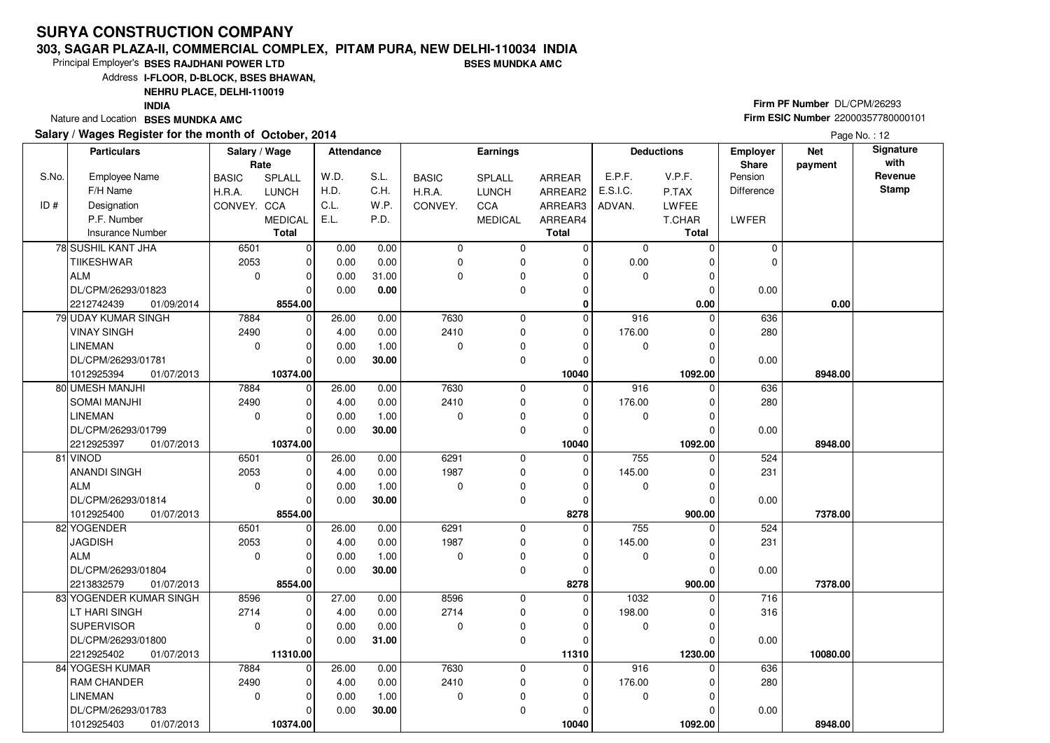#### **303, SAGAR PLAZA-II, COMMERCIAL COMPLEX, PITAM PURA, NEW DELHI-110034 INDIABSES MUNDKA AMC**

Principal Employer's**BSES RAJDHANI POWER LTD**

Address**I-FLOOR, D-BLOCK, BSES BHAWAN,**

**NEHRU PLACE, DELHI-110019**

 $\overline{0}$ 

**10374.00** 01/07/2013

 $\Omega$  $\overline{\phantom{0}}$ 10374.00  0.000.00

 1.00**30.00**

**INDIA**

Nature and Location **BSES MUNDKA AMC** 

S.No.

 $ID#$ 

LINEMAN

1012925403

DL/CPM/26293/01783

### **Salary / Wages Register for the month of October, 2014**

# **Firm PF Number** DL/CPM/26293 **Firm ESIC Number** <sup>22000357780000101</sup>

 **1092.00 8948.00**

 **Attendance EarningsBASIC**  H.R.A.CONVEY. CCA SPLALL LUNCH MEDICALARREAR ARREAR2 ARREAR3 ARREAR4**Total**Employee NameF/H Name Designation P.F. NumberInsurance Number**Salary / Wage RateBASIC**  H.R.A.**CONVEY** SPLALL LUNCHC<sub>C</sub>A MEDICAL**Total**ADVAN.P.TAX LWFEE T.CHAR **Total**E.P.F. V.P.F. E.S.I.C.Pension DifferenceLWFER**Deductions Employer Share**W.D.H.D.C.L. E.L.S.L.C.H.W<sub>P</sub> P.D.**Net paymentSignature with Revenue StampParticulars**Page No.: 12 6501 2053 $\overline{0}$  $\overline{0}$  $\overline{0}$  $\overline{0}$  $\overline{\phantom{0}}$ 8554.00  $\overline{0}$  $\overline{0}$  $\overline{0}$  $\overline{0}$   **0** $\overline{0}$  $\overline{0}$  $\overline{0}$  $\overline{0}$  $\overline{0}$  $\overline{0}$  $\overline{0}$  $\overline{0}$  0 0 $\overline{0}$  0.00 $\overline{0}$  $\overline{0}$  $\overline{0}$  $0.00$  **0.00 0.00** $\overline{0}$  $\overline{0}$  0.0078 SUSHIL KANT JHA**TIIKESHWAR** ALM DL/CPM/26293/01823 01/09/20142212742439 **8554.00** $\overline{0}$  $\overline{0.00}$  0.00 0.00 0.00 0.00 0.00 31.00  **0.00** 7884 2490 $\overline{0}$  $\overline{0}$  $\overline{0}$  $\overline{\phantom{0}}$ 10374.00  $\overline{0}$  $\overline{0}$  $\overline{0}$   **10040** $\overline{0}$  7630 2410 $\overline{0}$  $\overline{0}$  $\overline{0}$  $\overline{0}$  $\overline{0}$  916 0 $\overline{0}$  176.00 $\overline{0}$  $\overline{0}$  $\overline{0}$   **1092.00 8948.00** 636 280 0.0079 UDAY KUMAR SINGHVINAY SINGHLINEMAN DL/CPM/26293/01781 **10374.00** 01/07/2013101292539426.00 4.00 0.00 0.00 0.00 0.00 1.00 **30.00** 7884 2490 $\overline{0}$  $\Omega$  $\overline{0}$  $\overline{0}$  $\overline{\phantom{0}}$ 10374.00  $\overline{0}$  $\overline{0}$  $\overline{0}$   **10040** $\overline{0}$  7630 2410 $\overline{0}$  $\overline{0}$  $\overline{0}$  $\overline{0}$  $\overline{0}$  916 0 $\overline{0}$  176.00 $\overline{0}$  $\overline{0}$  $\overline{0}$ 1092.00  **1092.00 8948.00** 636 280 0.0080 UMESH MANJHI SOMAI MANJHILINEMAN DL/CPM/26293/01799 **10374.00** 01/07/2013221292539726.00 4.00 0.00 0.00 0.00 0.00 1.00 **30.00** 6501 2053 $\overline{0}$  $\Omega$  $\overline{0}$  $\overline{0}$  $\overline{\phantom{0}}$ 8554.00  $\overline{0}$  $\overline{0}$  $\overline{0}$   **8278** $\overline{0}$  6291 1987 $\overline{0}$  $\overline{0}$  $\overline{0}$  $\overline{0}$  $\overline{0}$  755 0 $\overline{0}$  145.00 $\overline{0}$  $\overline{0}$  $\overline{0}$ 900.00  **900.00 7378.00** 524 231 0.0081 VINOD ANANDI SINGHALM DL/CPM/26293/01814 01/07/20131012925400 **8554.00** $\overline{0}$ 26.00 4.00 0.00 0.00 0.00 0.00 1.00 **30.00** 6501 2053 $\overline{0}$  $\Omega$  $\Omega$  $\Omega$ 8554.00  $\overline{0}$  $\overline{0}$  $\overline{0}$   **8278** $\overline{0}$  6291 1987 $\overline{0}$  0 $\overline{0}$  $\overline{0}$  $\overline{0}$  755 0 $\overline{0}$  145.00 $\overline{0}$  $\overline{0}$  $\overline{0}$ 900.00  **900.00 7378.00** 524 231 0.0082 YOGENDERJAGDISHALM DL/CPM/26293/01804 01/07/20132213832579 **8554.00**26.00 4.00 0.00 0.00 0.00 0.00 1.00 **30.00**83| YOGENDER KUMAR SINGH 8596 2714 $\overline{0}$  $\overline{\phantom{0}}$  $\Omega$  $\Omega$  $\overline{\phantom{0}}$ 11310.00  $\overline{0}$  $\overline{0}$  $\overline{0}$   **11310** $\overline{0}$  8596 2714 $\overline{0}$  0 $\overline{0}$  $\overline{0}$  $\overline{0}$  1032 0 $\overline{0}$  198.00 $\overline{0}$  $\overline{0}$  $\overline{0}$ 1230.00  **1230.00 10080.00** 716 316 0.00LT HARI SINGH SUPERVISOR DL/CPM/26293/01800 **11310.00** 01/07/2013221292540227.00 4.00 0.00 0.00 0.00 0.00 0.00 **31.00** 7884 2490 $\overline{0}$  $\overline{\phantom{0}}$  $\overline{0}$  7630 2410 $\overline{0}$  $\overline{0}$  $916$  0  $\overline{0}$  176.00 636 28084 YOGESH KUMAR RAM CHANDER26.00 4.00 $0.00$ 0.00

 $\overline{\phantom{0}}$ 

 $\overline{0}$  $\overline{0}$ 

 $\overline{0}$  $\overline{0}$  **10040**  $\Omega$ 

 $\overline{0}$  $\overline{0}$ 1092.00